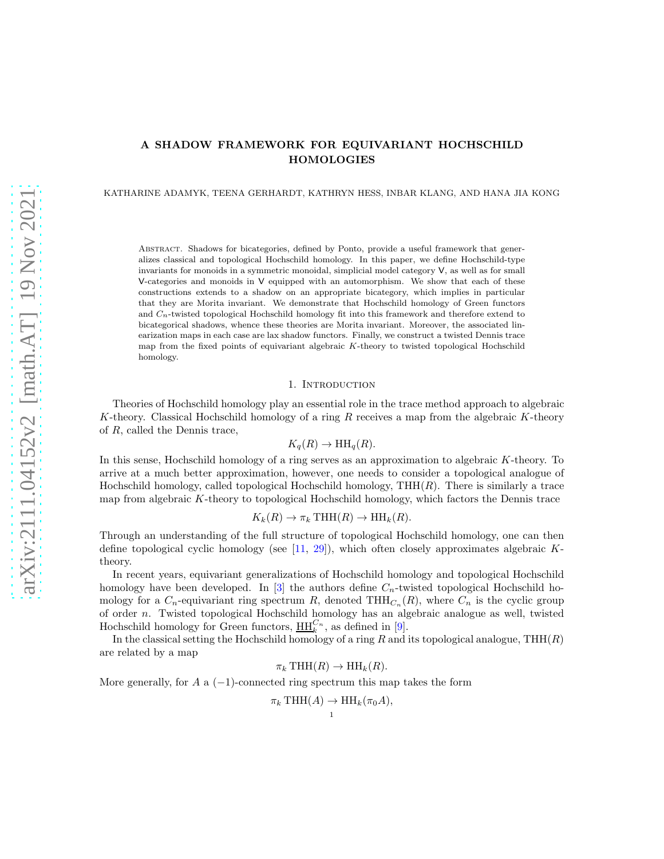# A SHADOW FRAMEWORK FOR EQUIVARIANT HOCHSCHILD HOMOLOGIES

KATHARINE ADAMYK, TEENA GERHARDT, KATHRYN HESS, INBAR KLANG, AND HANA JIA KONG

Abstract. Shadows for bicategories, defined by Ponto, provide a useful framework that generalizes classical and topological Hochschild homology. In this paper, we define Hochschild-type invariants for monoids in a symmetric monoidal, simplicial model category V, as well as for small V-categories and monoids in V equipped with an automorphism. We show that each of these constructions extends to a shadow on an appropriate bicategory, which implies in particular that they are Morita invariant. We demonstrate that Hochschild homology of Green functors and  $C_n$ -twisted topological Hochschild homology fit into this framework and therefore extend to bicategorical shadows, whence these theories are Morita invariant. Moreover, the associated linearization maps in each case are lax shadow functors. Finally, we construct a twisted Dennis trace map from the fixed points of equivariant algebraic K-theory to twisted topological Hochschild homology.

#### 1. INTRODUCTION

Theories of Hochschild homology play an essential role in the trace method approach to algebraic K-theory. Classical Hochschild homology of a ring  $R$  receives a map from the algebraic K-theory of R, called the Dennis trace,

$$
K_q(R) \to \mathrm{HH}_q(R).
$$

In this sense, Hochschild homology of a ring serves as an approximation to algebraic K-theory. To arrive at a much better approximation, however, one needs to consider a topological analogue of Hochschild homology, called topological Hochschild homology,  $THH(R)$ . There is similarly a trace map from algebraic K-theory to topological Hochschild homology, which factors the Dennis trace

$$
K_k(R) \to \pi_k \text{THH}(R) \to \text{HH}_k(R).
$$

Through an understanding of the full structure of topological Hochschild homology, one can then define topological cyclic homology (see  $[11, 29]$  $[11, 29]$ ), which often closely approximates algebraic Ktheory.

In recent years, equivariant generalizations of Hochschild homology and topological Hochschild homology have been developed. In [\[3\]](#page-29-0) the authors define  $C_n$ -twisted topological Hochschild homology for a  $C_n$ -equivariant ring spectrum R, denoted THH $_{C_n}(R)$ , where  $C_n$  is the cyclic group of order n. Twisted topological Hochschild homology has an algebraic analogue as well, twisted Hochschild homology for Green functors,  $\underline{HH}_k^{C_n}$ , as defined in [\[9\]](#page-30-2).

In the classical setting the Hochschild homology of a ring  $R$  and its topological analogue, THH( $R$ ) are related by a map

$$
\pi_k \text{THH}(R) \to \text{HH}_k(R).
$$

More generally, for  $A$  a  $(-1)$ -connected ring spectrum this map takes the form

$$
\pi_k \text{THH}(A) \to \text{HH}_k(\pi_0 A),
$$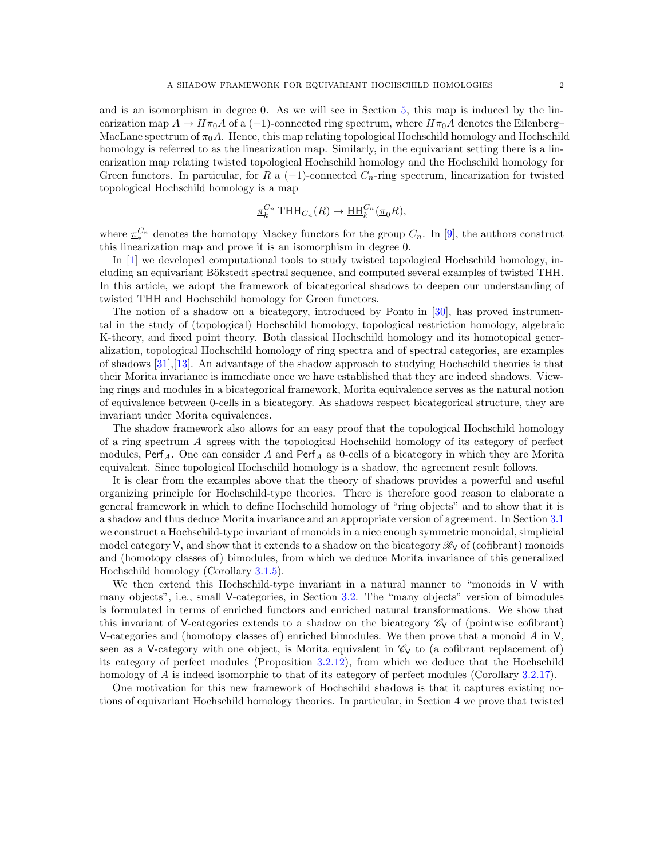and is an isomorphism in degree 0. As we will see in Section [5,](#page-21-0) this map is induced by the linearization map  $A \to H\pi_0A$  of a (-1)-connected ring spectrum, where  $H\pi_0A$  denotes the Eilenberg– MacLane spectrum of  $\pi_0 A$ . Hence, this map relating topological Hochschild homology and Hochschild homology is referred to as the linearization map. Similarly, in the equivariant setting there is a linearization map relating twisted topological Hochschild homology and the Hochschild homology for Green functors. In particular, for R a  $(-1)$ -connected  $C_n$ -ring spectrum, linearization for twisted topological Hochschild homology is a map

$$
\underline{\pi}_k^{C_n} \text{THH}_{C_n}(R) \to \underline{\text{HH}}_k^{C_n}(\underline{\pi}_0 R),
$$

where  $\underline{\tau}^{C_n}_*$  denotes the homotopy Mackey functors for the group  $C_n$ . In [\[9\]](#page-30-2), the authors construct this linearization map and prove it is an isomorphism in degree 0.

In [\[1\]](#page-29-1) we developed computational tools to study twisted topological Hochschild homology, including an equivariant Bökstedt spectral sequence, and computed several examples of twisted THH. In this article, we adopt the framework of bicategorical shadows to deepen our understanding of twisted THH and Hochschild homology for Green functors.

The notion of a shadow on a bicategory, introduced by Ponto in [\[30\]](#page-30-3), has proved instrumental in the study of (topological) Hochschild homology, topological restriction homology, algebraic K-theory, and fixed point theory. Both classical Hochschild homology and its homotopical generalization, topological Hochschild homology of ring spectra and of spectral categories, are examples of shadows [\[31\]](#page-30-4),[\[13\]](#page-30-5). An advantage of the shadow approach to studying Hochschild theories is that their Morita invariance is immediate once we have established that they are indeed shadows. Viewing rings and modules in a bicategorical framework, Morita equivalence serves as the natural notion of equivalence between 0-cells in a bicategory. As shadows respect bicategorical structure, they are invariant under Morita equivalences.

The shadow framework also allows for an easy proof that the topological Hochschild homology of a ring spectrum A agrees with the topological Hochschild homology of its category of perfect modules, Perf<sub>A</sub>. One can consider A and Perf<sub>A</sub> as 0-cells of a bicategory in which they are Morita equivalent. Since topological Hochschild homology is a shadow, the agreement result follows.

It is clear from the examples above that the theory of shadows provides a powerful and useful organizing principle for Hochschild-type theories. There is therefore good reason to elaborate a general framework in which to define Hochschild homology of "ring objects" and to show that it is a shadow and thus deduce Morita invariance and an appropriate version of agreement. In Section [3.1](#page-5-0) we construct a Hochschild-type invariant of monoids in a nice enough symmetric monoidal, simplicial model category  $V$ , and show that it extends to a shadow on the bicategory  $\mathcal{R}_V$  of (cofibrant) monoids and (homotopy classes of) bimodules, from which we deduce Morita invariance of this generalized Hochschild homology (Corollary [3.1.5\)](#page-6-0).

We then extend this Hochschild-type invariant in a natural manner to "monoids in V with many objects", i.e., small V-categories, in Section [3.2.](#page-7-0) The "many objects" version of bimodules is formulated in terms of enriched functors and enriched natural transformations. We show that this invariant of V-categories extends to a shadow on the bicategory  $\mathscr{C}_V$  of (pointwise cofibrant) V-categories and (homotopy classes of) enriched bimodules. We then prove that a monoid  $A$  in  $V$ , seen as a V-category with one object, is Morita equivalent in  $\mathcal{C}_V$  to (a cofibrant replacement of) its category of perfect modules (Proposition [3.2.12\)](#page-11-0), from which we deduce that the Hochschild homology of A is indeed isomorphic to that of its category of perfect modules (Corollary [3.2.17\)](#page-13-0).

One motivation for this new framework of Hochschild shadows is that it captures existing notions of equivariant Hochschild homology theories. In particular, in Section 4 we prove that twisted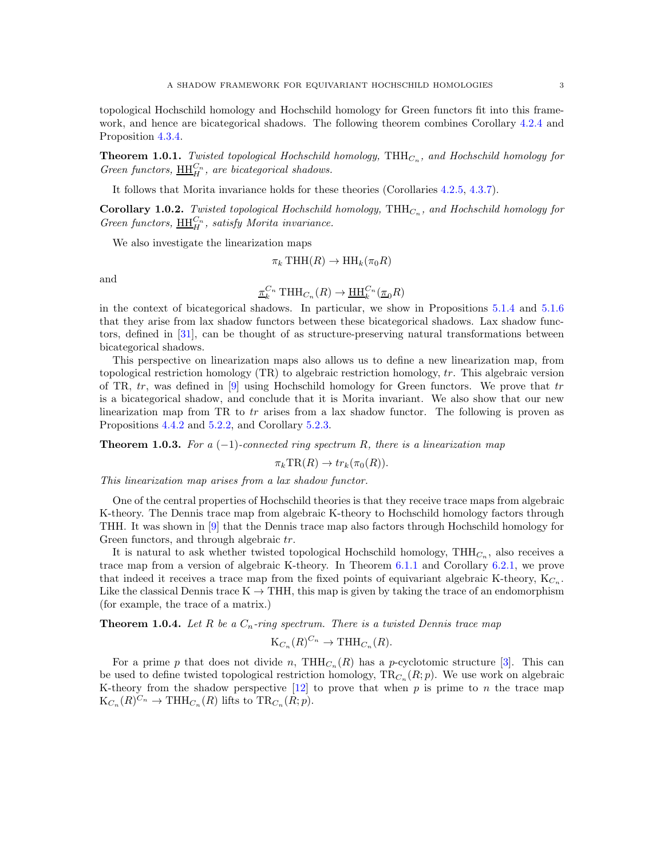topological Hochschild homology and Hochschild homology for Green functors fit into this framework, and hence are bicategorical shadows. The following theorem combines Corollary [4.2.4](#page-17-0) and Proposition [4.3.4.](#page-19-0)

**Theorem 1.0.1.** Twisted topological Hochschild homology,  $THH_{C_n}$ , and Hochschild homology for Green functors,  $\underline{\text{HH}}_H^{C_n}$ , are bicategorical shadows.

It follows that Morita invariance holds for these theories (Corollaries [4.2.5,](#page-17-1) [4.3.7\)](#page-20-0).

**Corollary 1.0.2.** Twisted topological Hochschild homology,  $THH_{C_n}$ , and Hochschild homology for Green functors,  $\underline{\text{HH}}_H^{C_n}$ , satisfy Morita invariance.

We also investigate the linearization maps

$$
\pi_k \text{THH}(R) \to \text{HH}_k(\pi_0 R)
$$

and

$$
\underline{\pi}_k^{C_n} \text{THH}_{C_n}(R) \to \underline{\text{HH}}_k^{C_n}(\underline{\pi}_0 R)
$$

in the context of bicategorical shadows. In particular, we show in Propositions [5.1.4](#page-22-0) and [5.1.6](#page-24-0) that they arise from lax shadow functors between these bicategorical shadows. Lax shadow functors, defined in [\[31\]](#page-30-4), can be thought of as structure-preserving natural transformations between bicategorical shadows.

This perspective on linearization maps also allows us to define a new linearization map, from topological restriction homology  $(TR)$  to algebraic restriction homology,  $tr$ . This algebraic version of TR,  $tr$ , was defined in [\[9\]](#page-30-2) using Hochschild homology for Green functors. We prove that  $tr$ is a bicategorical shadow, and conclude that it is Morita invariant. We also show that our new linearization map from TR to  $tr$  arises from a lax shadow functor. The following is proven as Propositions [4.4.2](#page-21-1) and  $5.2.2$ , and Corollary [5.2.3.](#page-25-1)

**Theorem 1.0.3.** For a  $(-1)$ -connected ring spectrum R, there is a linearization map

 $\pi_k \text{TR}(R) \to tr_k(\pi_0(R)).$ 

This linearization map arises from a lax shadow functor.

One of the central properties of Hochschild theories is that they receive trace maps from algebraic K-theory. The Dennis trace map from algebraic K-theory to Hochschild homology factors through THH. It was shown in [\[9\]](#page-30-2) that the Dennis trace map also factors through Hochschild homology for Green functors, and through algebraic tr.

It is natural to ask whether twisted topological Hochschild homology,  $THH_{C_n}$ , also receives a trace map from a version of algebraic K-theory. In Theorem [6.1.1](#page-27-0) and Corollary [6.2.1,](#page-29-2) we prove that indeed it receives a trace map from the fixed points of equivariant algebraic K-theory,  $K_{C_n}$ . Like the classical Dennis trace  $K \to THH$ , this map is given by taking the trace of an endomorphism (for example, the trace of a matrix.)

**Theorem 1.0.4.** Let R be a  $C_n$ -ring spectrum. There is a twisted Dennis trace map

$$
K_{C_n}(R)^{C_n} \to THH_{C_n}(R).
$$

For a prime p that does not divide n,  $THH_{C_n}(R)$  has a p-cyclotomic structure [\[3\]](#page-29-0). This can be used to define twisted topological restriction homology,  $\text{TR}_{C_n}(R; p)$ . We use work on algebraic K-theory from the shadow perspective  $[12]$  to prove that when p is prime to n the trace map  $\mathrm{K}_{C_n}(R)^{C_n} \to \mathrm{THH}_{C_n}(R)$  lifts to  $\mathrm{TR}_{C_n}(R;p)$ .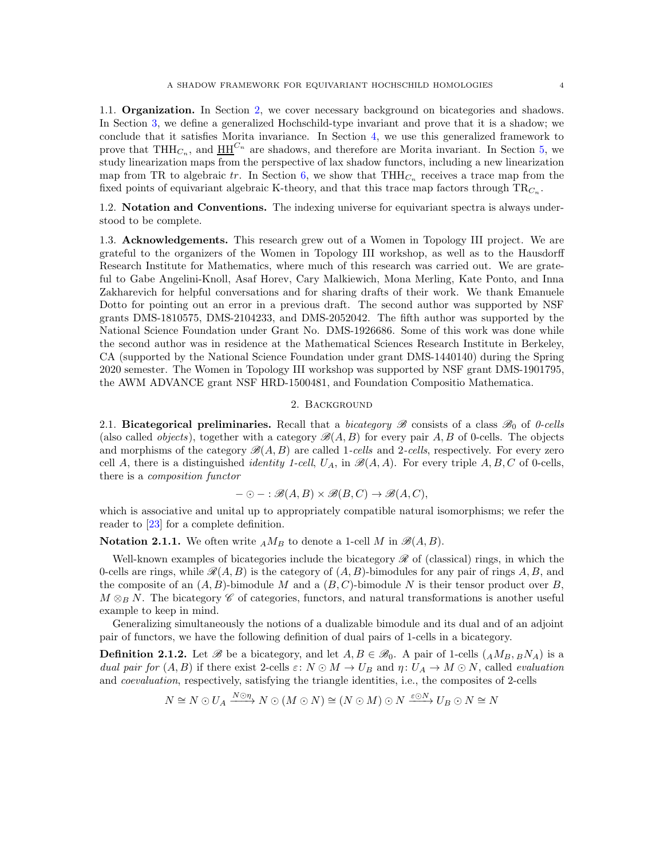1.1. Organization. In Section [2,](#page-3-0) we cover necessary background on bicategories and shadows. In Section [3,](#page-5-1) we define a generalized Hochschild-type invariant and prove that it is a shadow; we conclude that it satisfies Morita invariance. In Section [4,](#page-13-1) we use this generalized framework to prove that THH<sub>C<sub>n</sub></sub>, and  $\underline{HH}^{C_n}$  are shadows, and therefore are Morita invariant. In Section [5,](#page-21-0) we study linearization maps from the perspective of lax shadow functors, including a new linearization map from TR to algebraic tr. In Section [6,](#page-26-0) we show that  $THH_{C_n}$  receives a trace map from the fixed points of equivariant algebraic K-theory, and that this trace map factors through  $TR_{C_n}$ .

1.2. Notation and Conventions. The indexing universe for equivariant spectra is always understood to be complete.

1.3. Acknowledgements. This research grew out of a Women in Topology III project. We are grateful to the organizers of the Women in Topology III workshop, as well as to the Hausdorff Research Institute for Mathematics, where much of this research was carried out. We are grateful to Gabe Angelini-Knoll, Asaf Horev, Cary Malkiewich, Mona Merling, Kate Ponto, and Inna Zakharevich for helpful conversations and for sharing drafts of their work. We thank Emanuele Dotto for pointing out an error in a previous draft. The second author was supported by NSF grants DMS-1810575, DMS-2104233, and DMS-2052042. The fifth author was supported by the National Science Foundation under Grant No. DMS-1926686. Some of this work was done while the second author was in residence at the Mathematical Sciences Research Institute in Berkeley, CA (supported by the National Science Foundation under grant DMS-1440140) during the Spring 2020 semester. The Women in Topology III workshop was supported by NSF grant DMS-1901795, the AWM ADVANCE grant NSF HRD-1500481, and Foundation Compositio Mathematica.

## 2. Background

<span id="page-3-0"></span>2.1. Bicategorical preliminaries. Recall that a bicategory  $\mathscr{B}$  consists of a class  $\mathscr{B}_0$  of 0-cells (also called *objects*), together with a category  $\mathscr{B}(A, B)$  for every pair A, B of 0-cells. The objects and morphisms of the category  $\mathscr{B}(A, B)$  are called 1-cells and 2-cells, respectively. For every zero cell A, there is a distinguished *identity 1-cell*,  $U_A$ , in  $\mathcal{B}(A, A)$ . For every triple A, B, C of 0-cells, there is a composition functor

$$
- \odot - : \mathcal{B}(A, B) \times \mathcal{B}(B, C) \to \mathcal{B}(A, C),
$$

which is associative and unital up to appropriately compatible natural isomorphisms; we refer the reader to [\[23\]](#page-30-7) for a complete definition.

**Notation 2.1.1.** We often write  $_A M_B$  to denote a 1-cell M in  $\mathcal{B}(A, B)$ .

Well-known examples of bicategories include the bicategory  $\mathscr R$  of (classical) rings, in which the 0-cells are rings, while  $\mathcal{R}(A, B)$  is the category of  $(A, B)$ -bimodules for any pair of rings A, B, and the composite of an  $(A, B)$ -bimodule M and a  $(B, C)$ -bimodule N is their tensor product over B,  $M \otimes_B N$ . The bicategory C of categories, functors, and natural transformations is another useful example to keep in mind.

Generalizing simultaneously the notions of a dualizable bimodule and its dual and of an adjoint pair of functors, we have the following definition of dual pairs of 1-cells in a bicategory.

**Definition 2.1.2.** Let B be a bicategory, and let  $A, B \in \mathcal{B}_0$ . A pair of 1-cells  $(AM_B, BM_A)$  is a dual pair for  $(A, B)$  if there exist 2-cells  $\varepsilon: N \odot M \to U_B$  and  $\eta: U_A \to M \odot N$ , called *evaluation* and coevaluation, respectively, satisfying the triangle identities, i.e., the composites of 2-cells

$$
N \cong N \odot U_A \xrightarrow{N \odot \eta} N \odot (M \odot N) \cong (N \odot M) \odot N \xrightarrow{\varepsilon \odot N} U_B \odot N \cong N
$$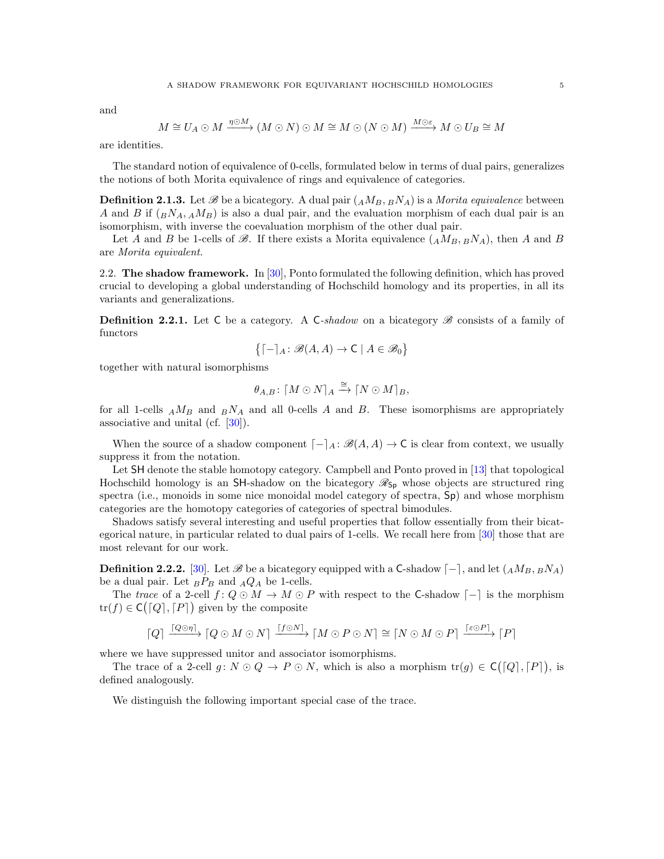and

$$
M \cong U_A \odot M \xrightarrow{\eta \odot M} (M \odot N) \odot M \cong M \odot (N \odot M) \xrightarrow{M \odot \varepsilon} M \odot U_B \cong M
$$

are identities.

The standard notion of equivalence of 0-cells, formulated below in terms of dual pairs, generalizes the notions of both Morita equivalence of rings and equivalence of categories.

**Definition 2.1.3.** Let B be a bicategory. A dual pair  $(AM_B, BN_A)$  is a *Morita equivalence* between A and B if  $\binom{B}{A}$ ,  $\binom{M}{B}$  is also a dual pair, and the evaluation morphism of each dual pair is an isomorphism, with inverse the coevaluation morphism of the other dual pair.

Let A and B be 1-cells of  $\mathscr{B}$ . If there exists a Morita equivalence  $(AM_B, BN_A)$ , then A and B are Morita equivalent.

2.2. The shadow framework. In  $[30]$ , Ponto formulated the following definition, which has proved crucial to developing a global understanding of Hochschild homology and its properties, in all its variants and generalizations.

**Definition 2.2.1.** Let C be a category. A C-shadow on a bicategory  $\mathscr{B}$  consists of a family of functors

$$
\left\{ \left[ -\right]_{A}\colon\mathscr{B}(A,A)\to\mathsf{C}\mid A\in\mathscr{B}_{0}\right\}
$$

together with natural isomorphisms

$$
\theta_{A,B}\colon \lceil M \odot N \rceil_A \xrightarrow{\cong} \lceil N \odot M \rceil_B,
$$

for all 1-cells  $_A M_B$  and  $_B N_A$  and all 0-cells A and B. These isomorphisms are appropriately associative and unital (cf. [\[30\]](#page-30-3)).

When the source of a shadow component  $[-]_A : \mathcal{B}(A, A) \to \mathsf{C}$  is clear from context, we usually suppress it from the notation.

Let SH denote the stable homotopy category. Campbell and Ponto proved in [\[13\]](#page-30-5) that topological Hochschild homology is an SH-shadow on the bicategory  $\mathcal{R}_{Sp}$  whose objects are structured ring spectra (i.e., monoids in some nice monoidal model category of spectra,  $Sp$ ) and whose morphism categories are the homotopy categories of categories of spectral bimodules.

Shadows satisfy several interesting and useful properties that follow essentially from their bicategorical nature, in particular related to dual pairs of 1-cells. We recall here from [\[30\]](#page-30-3) those that are most relevant for our work.

**Definition 2.2.2.** [\[30\]](#page-30-3). Let  $\mathscr B$  be a bicategory equipped with a C-shadow  $\lceil - \rceil$ , and let  $(AM_B, BNA)$ be a dual pair. Let  $_B P_B$  and  $_A Q_A$  be 1-cells.

The trace of a 2-cell  $f: Q \odot M \rightarrow M \odot P$  with respect to the C-shadow  $\lceil - \rceil$  is the morphism  $tr(f) \in \mathsf{C}([Q], [P])$  given by the composite

$$
\lceil Q \rceil \xrightarrow{\lceil Q \odot n \rceil} \lceil Q \odot M \odot N \rceil \xrightarrow{\lceil f \odot N \rceil} \lceil M \odot P \odot N \rceil \cong \lceil N \odot M \odot P \rceil \xrightarrow{\lceil \varepsilon \odot P \rceil} \lceil P \rceil
$$

where we have suppressed unitor and associator isomorphisms.

The trace of a 2-cell  $g: N \odot Q \rightarrow P \odot N$ , which is also a morphism  $\text{tr}(g) \in C([Q], [P])$ , is defined analogously.

We distinguish the following important special case of the trace.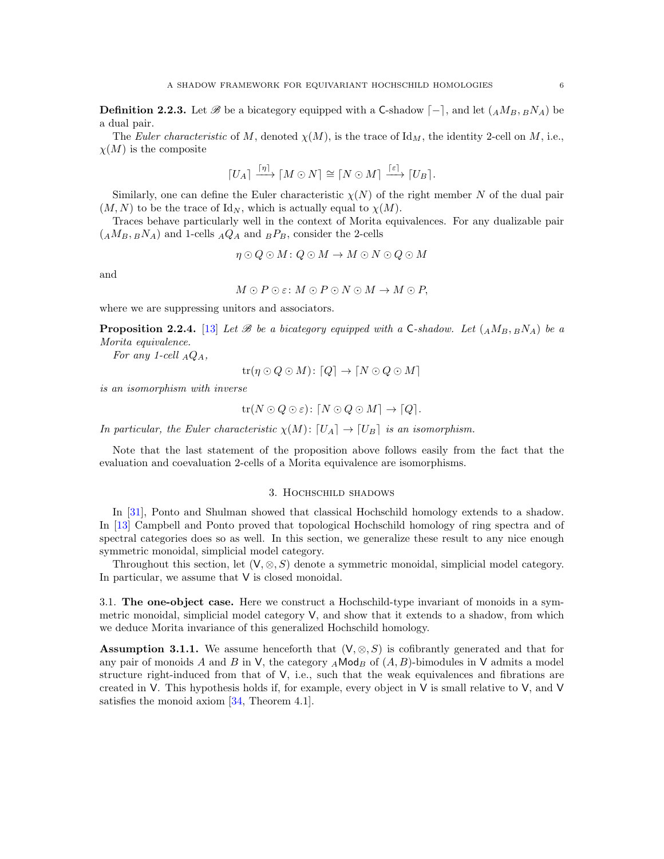**Definition 2.2.3.** Let  $\mathscr B$  be a bicategory equipped with a C-shadow  $\begin{bmatrix} -1 \\ 1 \end{bmatrix}$ , and let  $(AM_B, B_1M_A)$  be a dual pair.

The Euler characteristic of M, denoted  $\chi(M)$ , is the trace of Id<sub>M</sub>, the identity 2-cell on M, i.e.,  $\chi(M)$  is the composite

$$
[U_A] \xrightarrow{[\eta]} [M \odot N] \cong [N \odot M] \xrightarrow{[\epsilon]} [U_B].
$$

Similarly, one can define the Euler characteristic  $\chi(N)$  of the right member N of the dual pair  $(M, N)$  to be the trace of Id<sub>N</sub>, which is actually equal to  $\chi(M)$ .

Traces behave particularly well in the context of Morita equivalences. For any dualizable pair  $(AM_B, BN_A)$  and 1-cells  $_AQ_A$  and  $_BP_B$ , consider the 2-cells

$$
\eta \odot Q \odot M : Q \odot M \rightarrow M \odot N \odot Q \odot M
$$

and

$$
M \odot P \odot \varepsilon \colon M \odot P \odot N \odot M \to M \odot P,
$$

where we are suppressing unitors and associators.

<span id="page-5-3"></span>**Proposition 2.2.4.** [\[13\]](#page-30-5) Let B be a bicategory equipped with a C-shadow. Let  $(AM_B, BNA)$  be a Morita equivalence.

For any 1-cell  $_AQ_A$ ,

$$
\operatorname{tr}(\eta \odot Q \odot M) \colon [Q] \to [N \odot Q \odot M]
$$

is an isomorphism with inverse

$$
\mathrm{tr}(N\odot Q\odot\varepsilon)\colon [N\odot Q\odot M]\to [Q].
$$

In particular, the Euler characteristic  $\chi(M): [U_A] \to [U_B]$  is an isomorphism.

<span id="page-5-1"></span>Note that the last statement of the proposition above follows easily from the fact that the evaluation and coevaluation 2-cells of a Morita equivalence are isomorphisms.

## 3. Hochschild shadows

In [\[31\]](#page-30-4), Ponto and Shulman showed that classical Hochschild homology extends to a shadow. In [\[13\]](#page-30-5) Campbell and Ponto proved that topological Hochschild homology of ring spectra and of spectral categories does so as well. In this section, we generalize these result to any nice enough symmetric monoidal, simplicial model category.

Throughout this section, let  $(V, \otimes, S)$  denote a symmetric monoidal, simplicial model category. In particular, we assume that V is closed monoidal.

<span id="page-5-0"></span>3.1. The one-object case. Here we construct a Hochschild-type invariant of monoids in a symmetric monoidal, simplicial model category V, and show that it extends to a shadow, from which we deduce Morita invariance of this generalized Hochschild homology.

<span id="page-5-2"></span>**Assumption 3.1.1.** We assume henceforth that  $(V, \otimes, S)$  is cofibrantly generated and that for any pair of monoids A and B in V, the category  $_A \text{Mod}_B$  of  $(A, B)$ -bimodules in V admits a model structure right-induced from that of V, i.e., such that the weak equivalences and fibrations are created in  $V$ . This hypothesis holds if, for example, every object in  $V$  is small relative to  $V$ , and  $V$ satisfies the monoid axiom [\[34,](#page-30-8) Theorem 4.1].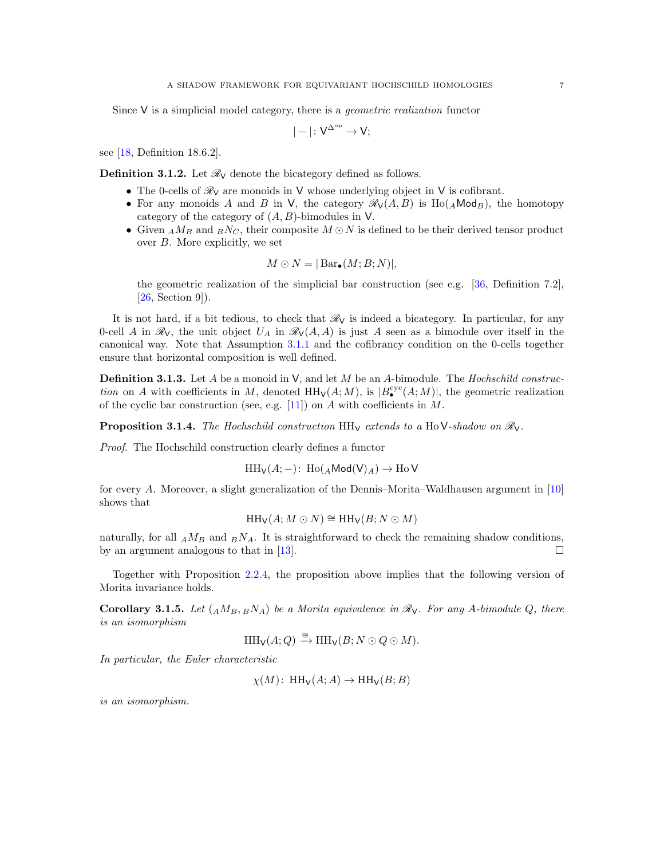Since  $V$  is a simplicial model category, there is a *geometric realization* functor

$$
|-| \colon V^{\Delta^{\rm op}} \to V;
$$

see [\[18,](#page-30-9) Definition 18.6.2].

<span id="page-6-1"></span>**Definition 3.1.2.** Let  $\mathcal{R}_V$  denote the bicategory defined as follows.

- The 0-cells of  $\mathcal{R}_V$  are monoids in V whose underlying object in V is cofibrant.
- For any monoids A and B in V, the category  $\mathcal{R}_{V}(A, B)$  is Ho( $_A$ Mod<sub>B</sub>), the homotopy category of the category of  $(A, B)$ -bimodules in V.
- Given  $_A M_B$  and  $_B N_C$ , their composite  $M \odot N$  is defined to be their derived tensor product over B. More explicitly, we set

$$
M \odot N = |\operatorname{Bar}_{\bullet}(M; B; N)|,
$$

the geometric realization of the simplicial bar construction (see e.g. [\[36,](#page-30-10) Definition 7.2],  $[26, Section 9]$  $[26, Section 9]$ .

It is not hard, if a bit tedious, to check that  $\mathcal{R}_V$  is indeed a bicategory. In particular, for any 0-cell A in  $\mathcal{R}_V$ , the unit object  $U_A$  in  $\mathcal{R}_V(A, A)$  is just A seen as a bimodule over itself in the canonical way. Note that Assumption [3.1.1](#page-5-2) and the cofibrancy condition on the 0-cells together ensure that horizontal composition is well defined.

**Definition 3.1.3.** Let A be a monoid in  $V$ , and let M be an A-bimodule. The Hochschild construction on A with coefficients in M, denoted  $HH_V(A;M)$ , is  $|B^{cyc}(A;M)|$ , the geometric realization of the cyclic bar construction (see, e.g.  $[11]$ ) on A with coefficients in M.

**Proposition 3.1.4.** The Hochschild construction HH<sub>V</sub> extends to a HoV-shadow on  $\mathcal{R}_{V}$ .

Proof. The Hochschild construction clearly defines a functor

 $HH_V(A; -)$ : Ho $(AMod(V)_A) \rightarrow HoV$ 

for every A. Moreover, a slight generalization of the Dennis–Morita–Waldhausen argument in [\[10\]](#page-30-12) shows that

$$
HH_V(A; M \odot N) \cong HH_V(B; N \odot M)
$$

naturally, for all  $_A M_B$  and  $_B N_A$ . It is straightforward to check the remaining shadow conditions, by an argument analogous to that in [\[13\]](#page-30-5).  $\square$ 

Together with Proposition [2.2.4,](#page-5-3) the proposition above implies that the following version of Morita invariance holds.

<span id="page-6-0"></span>**Corollary 3.1.5.** Let  $(AM_B, BN_A)$  be a Morita equivalence in  $\mathcal{R}_\mathsf{V}$ . For any A-bimodule Q, there is an isomorphism

$$
\text{HH}_{\mathsf{V}}(A;Q) \xrightarrow{\cong} \text{HH}_{\mathsf{V}}(B;N\odot Q\odot M).
$$

In particular, the Euler characteristic

 $\chi(M)$ : HH<sub>V</sub> $(A; A) \to$ HH<sub>V</sub> $(B; B)$ 

is an isomorphism.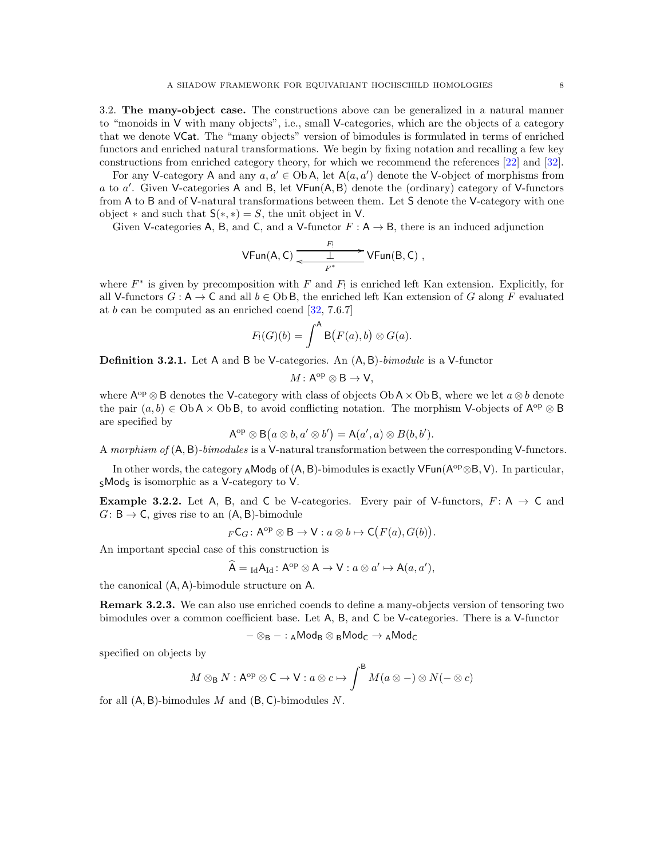<span id="page-7-0"></span>3.2. The many-object case. The constructions above can be generalized in a natural manner to "monoids in V with many objects", i.e., small V-categories, which are the objects of a category that we denote VCat. The "many objects" version of bimodules is formulated in terms of enriched functors and enriched natural transformations. We begin by fixing notation and recalling a few key constructions from enriched category theory, for which we recommend the references [\[22\]](#page-30-13) and [\[32\]](#page-30-14).

For any V-category A and any  $a, a' \in Ob A$ , let  $A(a, a')$  denote the V-object of morphisms from a to a'. Given V-categories A and B, let VFun(A, B) denote the (ordinary) category of V-functors from A to B and of V-natural transformations between them. Let S denote the V-category with one object  $*$  and such that  $S(*, *) = S$ , the unit object in V.

Given V-categories A, B, and C, and a V-functor  $F : A \rightarrow B$ , there is an induced adjunction

$$
\mathsf{V}\mathsf{Fun}(A,C) \xrightarrow{\begin{array}{c} F_! \\ \longleftarrow \quad \bot \end{array}} \mathsf{V}\mathsf{Fun}(B,C) \ ,
$$

where  $F^*$  is given by precomposition with F and  $F_!$  is enriched left Kan extension. Explicitly, for all V-functors  $G : A \to C$  and all  $b \in Ob B$ , the enriched left Kan extension of G along F evaluated at  $b$  can be computed as an enriched coend  $[32, 7.6.7]$ 

$$
F_!(G)(b) = \int^A \mathsf{B}(F(a),b) \otimes G(a).
$$

**Definition 3.2.1.** Let A and B be V-categories. An  $(A, B)$ -bimodule is a V-functor

$$
M\colon \mathsf{A}^{\mathrm{op}}\otimes \mathsf{B} \to \mathsf{V},
$$

where  $\mathsf{A}^{\mathrm{op}}\otimes\mathsf{B}$  denotes the V-category with class of objects  $\mathrm{Ob}\,\mathsf{A}\times\mathrm{Ob}\,\mathsf{B}$ , where we let  $a\otimes b$  denote the pair  $(a, b) \in \text{Ob } A \times \text{Ob } B$ , to avoid conflicting notation. The morphism V-objects of  $A^{\text{op}} \otimes B$ are specified by

$$
\mathsf{A}^{\mathrm{op}} \otimes \mathsf{B}\big(a \otimes b, a' \otimes b'\big) = \mathsf{A}(a',a) \otimes B(b,b').
$$

A morphism of (A, B)-bimodules is a V-natural transformation between the corresponding V-functors.

In other words, the category <sub>A</sub>Mod<sub>B</sub> of  $(A, B)$ -bimodules is exactly VFun( $A^{op} \otimes B$ , V). In particular,  $s$ Mods is isomorphic as a V-category to V.

<span id="page-7-1"></span>**Example 3.2.2.** Let A, B, and C be V-categories. Every pair of V-functors,  $F: A \rightarrow C$  and  $G: \mathsf{B} \to \mathsf{C}$ , gives rise to an  $(\mathsf{A}, \mathsf{B})$ -bimodule

$$
{}_{F}\mathsf{C}_G: \mathsf{A}^{\mathrm{op}} \otimes \mathsf{B} \to \mathsf{V}: a \otimes b \mapsto \mathsf{C}\bigl( F(a), G(b) \bigr).
$$

An important special case of this construction is

$$
\widehat{A} = {}_{\mathrm{Id}}A_{\mathrm{Id}}: A^{\mathrm{op}} \otimes A \to V: a \otimes a' \mapsto A(a, a'),
$$

the canonical (A, A)-bimodule structure on A.

Remark 3.2.3. We can also use enriched coends to define a many-objects version of tensoring two bimodules over a common coefficient base. Let A, B, and C be V-categories. There is a V-functor

$$
-\otimes_B-:\mathsf{ }_A\mathsf{Mod}_B\otimes {}_B\mathsf{Mod}_C\to {}_A\mathsf{Mod}_C
$$

specified on objects by

$$
M \otimes_B N : A^{op} \otimes C \to V : a \otimes c \mapsto \int^B M(a \otimes -) \otimes N(- \otimes c)
$$

for all  $(A, B)$ -bimodules M and  $(B, C)$ -bimodules N.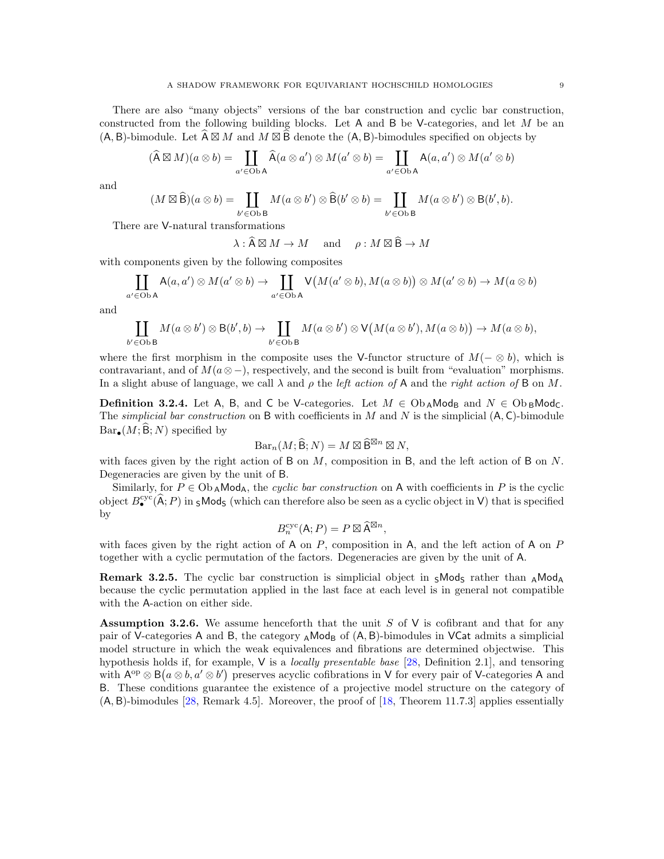There are also "many objects" versions of the bar construction and cyclic bar construction, constructed from the following building blocks. Let  $A$  and  $B$  be V-categories, and let  $M$  be an  $(A, B)$ -bimodule. Let  $\widehat{A} \boxtimes M$  and  $M \boxtimes \widehat{B}$  denote the  $(A, B)$ -bimodules specified on objects by

$$
(\widehat{A}\boxtimes M)(a\otimes b)=\coprod_{a'\in Ob\cdot A}\widehat{A}(a\otimes a')\otimes M(a'\otimes b)=\coprod_{a'\in Ob\cdot A}A(a,a')\otimes M(a'\otimes b)
$$

and

$$
(M \boxtimes \widehat{\mathsf{B}})(a \otimes b) = \coprod_{b' \in \mathsf{Ob}\,\mathsf{B}} M(a \otimes b') \otimes \widehat{\mathsf{B}}(b' \otimes b) = \coprod_{b' \in \mathsf{Ob}\,\mathsf{B}} M(a \otimes b') \otimes \mathsf{B}(b', b).
$$

There are V-natural transformations

 $\lambda : \widehat{A} \boxtimes M \to M$  and  $\rho : M \boxtimes \widehat{B} \to M$ 

with components given by the following composites

$$
\coprod_{a' \in \text{Ob } A} A(a, a') \otimes M(a' \otimes b) \to \coprod_{a' \in \text{Ob } A} V(M(a' \otimes b), M(a \otimes b)) \otimes M(a' \otimes b) \to M(a \otimes b)
$$

and

$$
\coprod_{b' \in \text{Ob } B} M(a \otimes b') \otimes B(b', b) \to \coprod_{b' \in \text{Ob } B} M(a \otimes b') \otimes V(M(a \otimes b'), M(a \otimes b)) \to M(a \otimes b),
$$

where the first morphism in the composite uses the V-functor structure of  $M(-\otimes b)$ , which is contravariant, and of  $M(a \otimes -)$ , respectively, and the second is built from "evaluation" morphisms. In a slight abuse of language, we call  $\lambda$  and  $\rho$  the *left action of* A and the *right action of* B on M.

<span id="page-8-1"></span>**Definition 3.2.4.** Let A, B, and C be V-categories. Let  $M \in \mathrm{Ob}_{\mathbf{A}}\mathsf{Mod}_{\mathbf{B}}$  and  $N \in \mathrm{Ob}_{\mathbf{B}}\mathsf{Mod}_{\mathbf{C}}$ . The *simplicial bar construction* on B with coefficients in M and N is the simplicial  $(A, C)$ -bimodule  $Bar_{\bullet}(M; \widehat{B}; N)$  specified by

$$
\mathrm{Bar}_n(M; \widehat{\mathsf{B}}; N) = M \boxtimes \widehat{\mathsf{B}}^{\boxtimes n} \boxtimes N,
$$

with faces given by the right action of B on  $M$ , composition in B, and the left action of B on  $N$ . Degeneracies are given by the unit of B.

Similarly, for  $P \in Ob_A \text{Mod}_A$ , the cyclic bar construction on A with coefficients in P is the cyclic object  $B_{\bullet}^{\text{cyc}}(\widehat{A};P)$  in  $_{\mathsf{S}}$ Mod<sub>S</sub> (which can therefore also be seen as a cyclic object in V) that is specified by

$$
B_n^{\text{cyc}}(\mathsf{A}; P) = P \boxtimes \widehat{\mathsf{A}}^{\boxtimes n},
$$

with faces given by the right action of A on  $P$ , composition in A, and the left action of A on  $P$ together with a cyclic permutation of the factors. Degeneracies are given by the unit of A.

**Remark 3.2.5.** The cyclic bar construction is simplicial object in  $\varsigma \text{Mod}_{\varsigma}$  rather than  $\varsigma \text{Mod}_{\mathsf{A}}$ because the cyclic permutation applied in the last face at each level is in general not compatible with the A-action on either side.

<span id="page-8-0"></span>Assumption 3.2.6. We assume henceforth that the unit  $S$  of  $V$  is cofibrant and that for any pair of V-categories A and B, the category  $_A$ Mod<sub>B</sub> of  $(A, B)$ -bimodules in VCat admits a simplicial model structure in which the weak equivalences and fibrations are determined objectwise. This hypothesis holds if, for example, V is a locally presentable base [\[28,](#page-30-15) Definition 2.1], and tensoring with  $A^{\text{op}} \otimes B(a \otimes b, a' \otimes b')$  preserves acyclic cofibrations in V for every pair of V-categories A and B. These conditions guarantee the existence of a projective model structure on the category of  $(A, B)$ -bimodules [\[28,](#page-30-15) Remark 4.5]. Moreover, the proof of [\[18,](#page-30-9) Theorem 11.7.3] applies essentially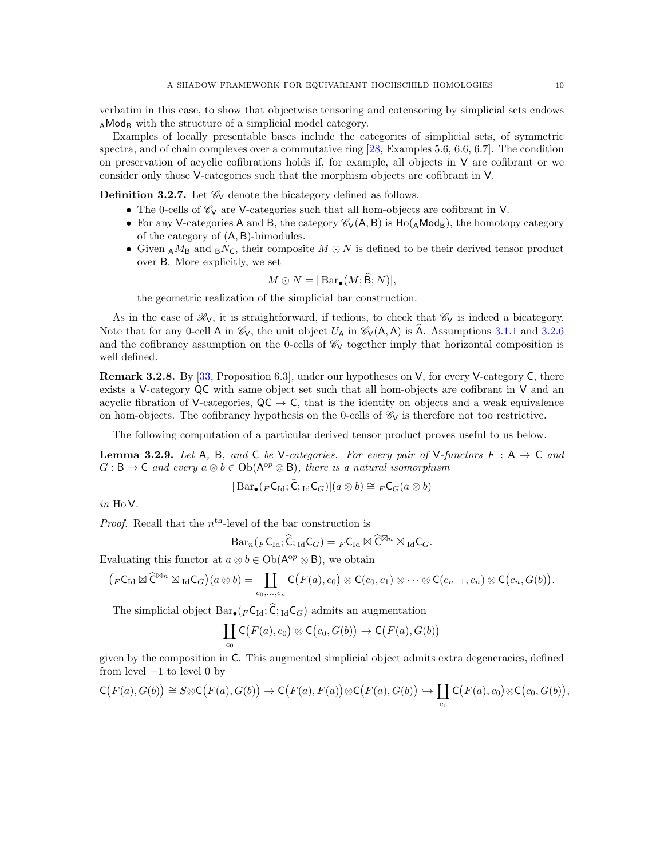verbatim in this case, to show that objectwise tensoring and cotensoring by simplicial sets endows  $_A$ Mod<sub>B</sub> with the structure of a simplicial model category.

Examples of locally presentable bases include the categories of simplicial sets, of symmetric spectra, and of chain complexes over a commutative ring [\[28,](#page-30-15) Examples 5.6, 6.6, 6.7]. The condition on preservation of acyclic cofibrations holds if, for example, all objects in  $V$  are cofibrant or we consider only those V-categories such that the morphism objects are cofibrant in V.

**Definition 3.2.7.** Let  $\mathcal{C}_V$  denote the bicategory defined as follows.

- The 0-cells of  $\mathcal{C}_V$  are V-categories such that all hom-objects are cofibrant in V.
- For any V-categories A and B, the category  $\mathcal{C}_V(A, B)$  is  $Ho(AMod_R)$ , the homotopy category of the category of (A, B)-bimodules.
- Given  $_A M_B$  and  $_B N_C$ , their composite  $M \odot N$  is defined to be their derived tensor product over B. More explicitly, we set

$$
M\odot N=|\operatorname{Bar}_{\bullet}(M;\widehat{\mathsf{B}};N)|,
$$

the geometric realization of the simplicial bar construction.

As in the case of  $\mathcal{R}_V$ , it is straightforward, if tedious, to check that  $\mathcal{C}_V$  is indeed a bicategory. Note that for any 0-cell A in  $\mathcal{C}_V$ , the unit object  $U_A$  in  $\mathcal{C}_V(A, A)$  is A. Assumptions [3.1.1](#page-5-2) and [3.2.6](#page-8-0) and the cofibrancy assumption on the 0-cells of  $\mathcal{C}_V$  together imply that horizontal composition is well defined.

<span id="page-9-0"></span>Remark 3.2.8. By [\[33,](#page-30-16) Proposition 6.3], under our hypotheses on V, for every V-category C, there exists a V-category QC with same object set such that all hom-objects are cofibrant in V and an acyclic fibration of V-categories,  $QC \rightarrow C$ , that is the identity on objects and a weak equivalence on hom-objects. The cofibrancy hypothesis on the 0-cells of  $\mathscr{C}_V$  is therefore not too restrictive.

The following computation of a particular derived tensor product proves useful to us below.

<span id="page-9-1"></span>**Lemma 3.2.9.** Let A, B, and C be V-categories. For every pair of V-functors  $F : A \rightarrow C$  and  $G: \mathsf{B} \to \mathsf{C}$  and every  $a \otimes b \in \mathrm{Ob}(\mathsf{A}^{\mathrm{op}} \otimes \mathsf{B})$ , there is a natural isomorphism

$$
|\operatorname{Bar}_{\bullet}({}_F\mathsf{C}_{\operatorname{Id}};\widehat{\mathsf{C}};\cdot_{\operatorname{Id}}\mathsf{C}_G)|(a\otimes b)\cong {}_F\mathsf{C}_G(a\otimes b)
$$

in HoV.

*Proof.* Recall that the  $n<sup>th</sup>$ -level of the bar construction is

$$
\mathrm{Bar}_n({}_F\mathsf{C}_{\mathrm{Id}}; \widehat{\mathsf{C}};_{\mathrm{Id}}\mathsf{C}_G)={}_F\mathsf{C}_{\mathrm{Id}}\boxtimes\widehat{\mathsf{C}}^{\boxtimes n}\boxtimes_{\mathrm{Id}}\mathsf{C}_G.
$$

Evaluating this functor at  $a \otimes b \in Ob(\mathsf{A}^{\text{op}} \otimes \mathsf{B})$ , we obtain

$$
\big(F\mathsf{C}_{\mathrm{Id}}\boxtimes \widehat{\mathsf{C}}^{\boxtimes n}\boxtimes_{\mathrm{Id}} \mathsf{C}_G\big)(a\otimes b)=\coprod_{c_0,\ldots,c_n}\mathsf{C}\big(F(a),c_0\big)\otimes \mathsf{C}(c_0,c_1)\otimes \cdots \otimes \mathsf{C}(c_{n-1},c_n)\otimes \mathsf{C}\big(c_n,G(b)\big).
$$

The simplicial object  $Bar_{\bullet}(F C_{\text{Id}}; \hat{C}_{\text{Id}} C_G)$  admits an augmentation

$$
\coprod_{c_0} \mathsf{C}\bigl(F(a),c_0\bigr) \otimes \mathsf{C}\bigl(c_0,G(b)\bigr) \to \mathsf{C}\bigl(F(a),G(b)\bigr)
$$

given by the composition in C. This augmented simplicial object admits extra degeneracies, defined from level  $-1$  to level 0 by

$$
\mathsf{C}\big(F(a),G(b)\big) \cong S \otimes \mathsf{C}\big(F(a),G(b)\big) \to \mathsf{C}\big(F(a),F(a)\big) \otimes \mathsf{C}\big(F(a),G(b)\big) \hookrightarrow \coprod_{c_0} \mathsf{C}\big(F(a),c_0\big) \otimes \mathsf{C}\big(c_0,G(b)\big),
$$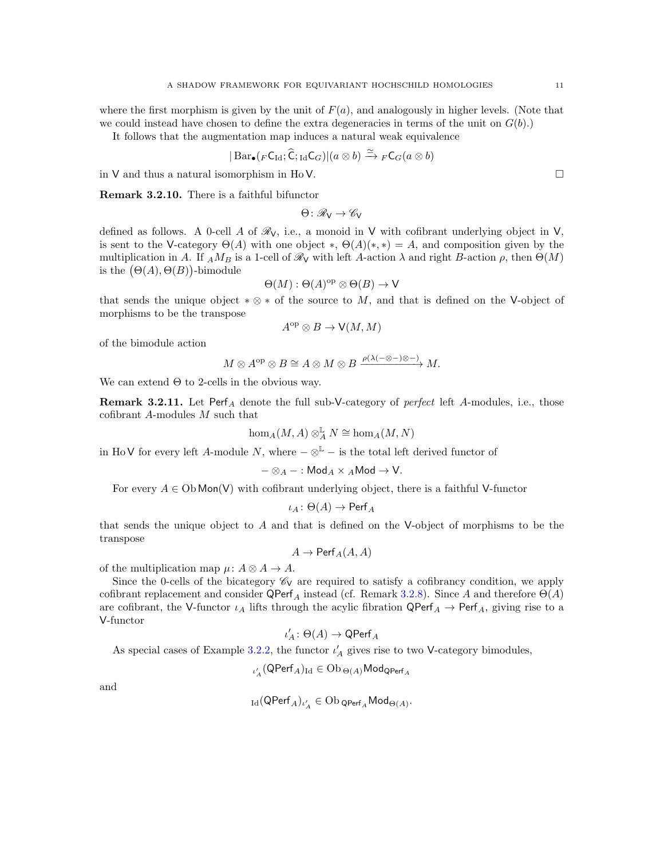where the first morphism is given by the unit of  $F(a)$ , and analogously in higher levels. (Note that we could instead have chosen to define the extra degeneracies in terms of the unit on  $G(b)$ .)

It follows that the augmentation map induces a natural weak equivalence

$$
|\operatorname{Bar}_{\bullet}({}_F\mathsf{C}_{\operatorname{Id}};\widehat{\mathsf{C}};\operatorname{Id}}\mathsf{C}_G)|(a\otimes b)\xrightarrow{\simeq} {}_F\mathsf{C}_G(a\otimes b)
$$

in V and thus a natural isomorphism in Ho V.

Remark 3.2.10. There is a faithful bifunctor

 $\Theta \colon \mathscr{R}_{V} \to \mathscr{C}_{V}$ 

defined as follows. A 0-cell A of  $\mathcal{R}_V$ , i.e., a monoid in V with cofibrant underlying object in V, is sent to the V-category  $\Theta(A)$  with one object  $*, \Theta(A)(*,*) = A$ , and composition given by the multiplication in A. If  $_A M_B$  is a 1-cell of  $\mathcal{R}_V$  with left A-action  $\lambda$  and right B-action  $\rho$ , then  $\Theta(M)$ is the  $(\Theta(A), \Theta(B))$ -bimodule

$$
\Theta(M) : \Theta(A)^{\mathrm{op}} \otimes \Theta(B) \to \mathsf{V}
$$

that sends the unique object  $*\otimes *$  of the source to M, and that is defined on the V-object of morphisms to be the transpose

$$
A^{\rm op}\otimes B\to{\sf V}(M,M)
$$

of the bimodule action

$$
M \otimes A^{\mathrm{op}} \otimes B \cong A \otimes M \otimes B \xrightarrow{\rho(\lambda(-\otimes -)\otimes -)} M.
$$

We can extend  $\Theta$  to 2-cells in the obvious way.

**Remark 3.2.11.** Let Perf<sub>A</sub> denote the full sub-V-category of *perfect* left A-modules, i.e., those cofibrant A-modules M such that

$$
\hom_A(M,A) \otimes_A^{\mathbb{L}} N \cong \hom_A(M,N)
$$

in HoV for every left A-module N, where  $-\otimes^{\mathbb{L}}$  – is the total left derived functor of

$$
-\otimes_A-:\mathsf{Mod}_A\times {}_A\mathsf{Mod}\to\mathsf{V}.
$$

For every  $A \in Ob$  Mon(V) with cofibrant underlying object, there is a faithful V-functor

$$
\iota_A\colon \Theta(A)\to \mathsf{Perf}_A
$$

that sends the unique object to  $A$  and that is defined on the V-object of morphisms to be the transpose

$$
A\to \mathsf{Perf}_A(A,A)
$$

of the multiplication map  $\mu: A \otimes A \rightarrow A$ .

Since the 0-cells of the bicategory  $\mathcal{C}_V$  are required to satisfy a cofibrancy condition, we apply cofibrant replacement and consider  $\mathsf{QPerf}_A$  instead (cf. Remark [3.2.8\)](#page-9-0). Since A and therefore  $\Theta(A)$ are cofibrant, the V-functor  $\iota_A$  lifts through the acylic fibration  $\mathsf{QPerf}_A \to \mathsf{Perf}_A$ , giving rise to a V-functor

$$
\iota'_A\colon \Theta(A)\to \mathsf{QPerf}_A
$$

As special cases of Example [3.2.2,](#page-7-1) the functor  $\iota'_{\mathcal{A}}$  gives rise to two V-category bimodules,

$$
\iota'_A(\mathsf{QPerf}_A)_{\mathrm{Id}}\in \mathrm{Ob}\, _{\Theta(A)}\mathsf{Mod}_{\mathsf{QPerf}_A}
$$

and

$$
\operatorname{Id}(\operatorname{QPerf}_A)_{\iota_A'} \in \operatorname{Ob}\operatorname{QPerf}_A\operatorname{Mod}_{\Theta(A)}.
$$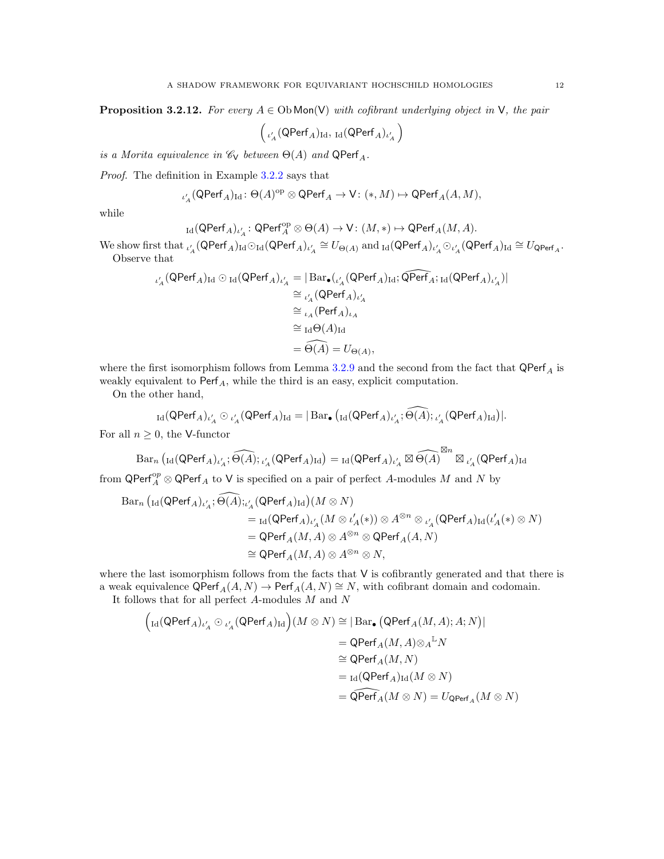<span id="page-11-0"></span>**Proposition 3.2.12.** For every  $A \in Ob$  Mon(V) with cofibrant underlying object in V, the pair

 $\Big( \iota_A'(\mathsf{QPerf}_A)_{\mathrm{Id}}, \, \mathop{\mathrm{Id}} (\mathsf{QPerf}_A)_{\iota_A'}$  $\overline{ }$ 

is a Morita equivalence in  $\mathcal{C}_V$  between  $\Theta(A)$  and  $\mathsf{QPerf}_A$ .

Proof. The definition in Example [3.2.2](#page-7-1) says that

$$
\iota'_{{}_A}(\mathsf{QPerf}_A)_{\mathrm{Id}}\colon \Theta(A)^\mathrm{op}\otimes \mathsf{QPerf}_A\to \mathsf{V}\colon (\ast,M)\mapsto \mathsf{QPerf}_A(A,M),
$$

while

$$
_{\operatorname{Id}}(\operatorname{QPerf}_A)_{\iota_A'}\colon \operatorname{QPerf}_A^{\operatorname{op}} \otimes \Theta(A) \to \operatorname{V}\colon (M,*) \mapsto \operatorname{QPerf}_A(M,A).
$$

We show first that  $\iota'_A(\mathsf{QPerf}_A)_{\mathrm{Id}} \odot_{\mathrm{Id}} (\mathsf{QPerf}_A)_{\iota'_A} \cong U_{\Theta(A)}$  and  $_{\mathrm{Id}}(\mathsf{QPerf}_A)_{\iota'_A} \odot_{\iota'_A} (\mathsf{QPerf}_A)_{\mathrm{Id}} \cong U_{\mathsf{QPerf}_A}$ . Observe that

$$
\iota'_{A}(\mathsf{QPerf}_{A})_{\mathrm{Id}} \odot_{\mathrm{Id}}(\mathsf{QPerf}_{A})_{\iota'_{A}} = |\mathrm{Bar}_{\bullet}({}_{\iota'_{A}}(\mathsf{QPerf}_{A})_{\mathrm{Id}}; \widehat{\mathsf{QPerf}}_{A};_{\mathrm{Id}}(\mathsf{QPerf}_{A})_{\iota'_{A}})|
$$
  
\n
$$
\cong {}_{\iota_{A}}(\mathsf{QPerf}_{A})_{\iota'_{A}}
$$
  
\n
$$
\cong {}_{\iota_{A}}(\mathrm{Perf}_{A})_{\iota_{A}}
$$
  
\n
$$
\cong {}_{\mathrm{Id}}\Theta(A)_{\mathrm{Id}}
$$
  
\n
$$
= \widehat{\Theta(A)} = U_{\Theta(A)},
$$

where the first isomorphism follows from Lemma [3.2.9](#page-9-1) and the second from the fact that  $\mathsf{QPerf}_A$  is weakly equivalent to  $\textsf{Perf}_A$ , while the third is an easy, explicit computation.

On the other hand,

$$
_{\operatorname{Id}}(\operatorname{QPerf}_A)_{\iota'_A}\odot{}_{\iota'_A}(\operatorname{QPerf}_A)_{\operatorname{Id}}=|\operatorname{Bar}_{\bullet}\big({_{\operatorname{Id}}}(\operatorname{QPerf}_A)_{\iota'_A};\widehat{\Theta(A)};{}_{\iota'_A}(\operatorname{QPerf}_A)_{\operatorname{Id}}\big)|.
$$

For all  $n \geq 0$ , the V-functor

$$
\mathrm{Bar}_n \left( {}_{\mathrm{Id}}(\mathsf{QPerf}_A)_{\iota_A'} ; \widehat{\Theta(A)} ; {}_{\iota_A'}(\mathsf{QPerf}_A)_{\mathrm{Id}} \right) = {}_{\mathrm{Id}}(\mathsf{QPerf}_A)_{\iota_A'} \boxtimes \widehat{\Theta(A)}^{\boxtimes n} \boxtimes {}_{\iota_A'}(\mathsf{QPerf}_A)_{\mathrm{Id}}
$$

from  $\mathsf{QPerf}_A^{\mathsf{op}} \otimes \mathsf{QPerf}_A$  to V is specified on a pair of perfect A-modules M and N by

$$
\begin{aligned} \text{Bar}_n\, \big(\text{Id}(\text{QPerf}_A)_{\iota_A'}; \widehat{\Theta(A)};_{\iota_A'} (\text{QPerf}_A)_{\text{Id}}\big)(M \otimes N) \\ & \qquad \qquad = \text{Id}(\text{QPerf}_A)_{\iota_A'} (M \otimes \iota_A' (*) ) \otimes A^{\otimes n} \otimes {}_{\iota_A'} (\text{QPerf}_A)_{\text{Id}} (\iota_A' (*) \otimes N) \\ & \qquad \qquad = \text{QPerf}_A(M, A) \otimes A^{\otimes n} \otimes \text{QPerf}_A(A, N) \\ & \qquad \qquad \cong \text{QPerf}_A(M, A) \otimes A^{\otimes n} \otimes N, \end{aligned}
$$

where the last isomorphism follows from the facts that V is cofibrantly generated and that there is a weak equivalence  $\mathsf{QPerf}_A(A, N) \to \mathsf{Perf}_A(A, N) \cong N$ , with cofibrant domain and codomain.

It follows that for all perfect  $A$ -modules  $M$  and  $N$ 

$$
\begin{aligned}\Big(\mathrm{Id}(\mathsf{QPerf}_A)_{\iota_A'} \odot \iota_A'(\mathsf{QPerf}_A)_\mathrm{Id}\Big)(M \otimes N) &\cong |\operatorname{Bar}_\bullet\big(\mathsf{QPerf}_A(M, A); A; N\big)| \\
&= \mathsf{QPerf}_A(M, A) \otimes_A {}^{\mathbb{L}} N \\
&\cong \mathsf{QPerf}_A(M, N) \\
&= \mathrm{Id}(\mathsf{QPerf}_A)_\mathrm{Id}(M \otimes N) \\
&= \mathsf{QPerf}_A(M \otimes N) = U_\mathsf{QPerf}_A(M \otimes N)\end{aligned}
$$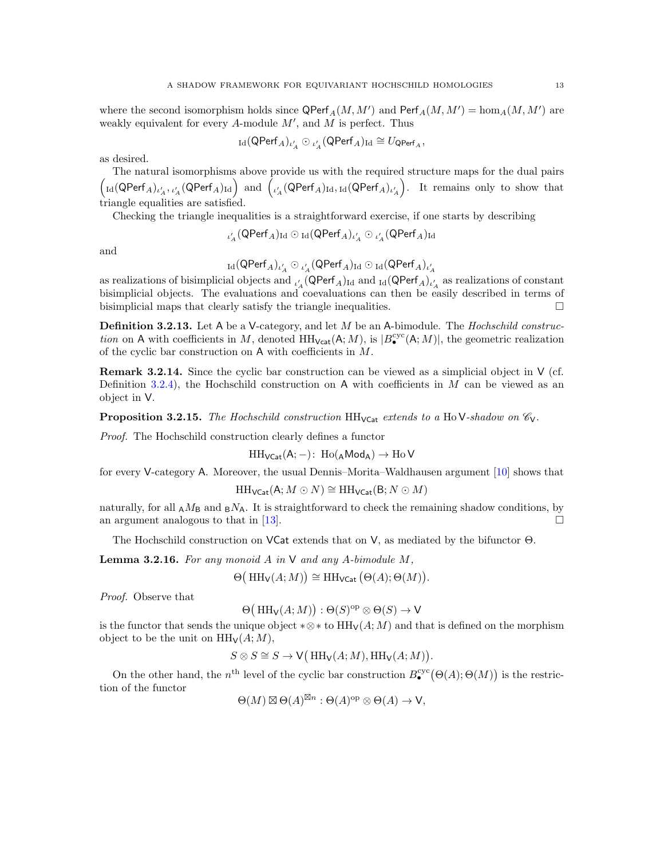where the second isomorphism holds since  $\mathsf{QPerf}_A(M, M')$  and  $\mathsf{Perf}_A(M, M') = \hom_A(M, M')$  are weakly equivalent for every  $A$ -module  $M'$ , and  $M$  is perfect. Thus

$$
{}_{\mathrm{Id}}(\mathsf{QPerf}_A)_{\iota'_A}\odot{}_{\iota'_A}(\mathsf{QPerf}_A)_{\mathrm{Id}}\cong U_{\mathsf{QPerf}_A},
$$

as desired.

The natural isomorphisms above provide us with the required structure maps for the dual pairs  $\left(\text{Id}(\textsf{QPerf}_A)_{\iota_A'}, \iota_A'(\textsf{QPerf}_A)_{\text{Id}}\right)$  and  $\left(\iota_A'(\textsf{QPerf}_A)_{\text{Id}}, \text{Id}(\textsf{QPerf}_A)_{\iota_A'}\right)$  . It remains only to show that triangle equalities are satisfied.

Checking the triangle inequalities is a straightforward exercise, if one starts by describing

$$
\iota_A'(\mathsf{QPerf}_A)_{\mathrm{Id}}\odot{}_{\mathrm{Id}}(\mathsf{QPerf}_A)_{\iota_A'}\odot{}_{\iota_A'}(\mathsf{QPerf}_A)_{\mathrm{Id}}
$$

and

$$
_{\operatorname{Id}}(\operatorname{QPerf}_A)_{\iota'_A}\odot{}_{\iota'_A}(\operatorname{QPerf}_A)_{\operatorname{Id}}\odot{}_{\operatorname{Id}}(\operatorname{QPerf}_A)_{\iota'_A}
$$

as realizations of bisimplicial objects and  $_{\iota'_A}$  (QPerf<sub>A</sub>)<sub>Id</sub> and  $_{\rm Id}$  (QPerf<sub>A</sub>)<sub> $_{\iota'_A}$ </sub> as realizations of constant bisimplicial objects. The evaluations and coevaluations can then be easily described in terms of bisimplicial maps that clearly satisfy the triangle inequalities.  $\Box$ 

**Definition 3.2.13.** Let A be a V-category, and let M be an A-bimodule. The *Hochschild construc*tion on A with coefficients in M, denoted  $HH_{\text{Vcat}}(A; M)$ , is  $|B_{\bullet}^{\text{cyc}}(A; M)|$ , the geometric realization of the cyclic bar construction on A with coefficients in M.

**Remark 3.2.14.** Since the cyclic bar construction can be viewed as a simplicial object in  $V$  (cf. Definition [3.2.4\)](#page-8-1), the Hochschild construction on A with coefficients in  $M$  can be viewed as an object in V.

<span id="page-12-0"></span>**Proposition 3.2.15.** The Hochschild construction  $HH_{VCat}$  extends to a HoV-shadow on  $\mathcal{C}_{V}$ .

Proof. The Hochschild construction clearly defines a functor

$$
\mathrm{HH}_{\mathsf{VCat}}(A;-)\colon \operatorname{Ho}({}_A\mathsf{Mod}_A)\to \operatorname{Ho} V
$$

for every V-category A. Moreover, the usual Dennis–Morita–Waldhausen argument [\[10\]](#page-30-12) shows that

$$
\mathrm{HH}_{\mathsf{VCat}}(\mathsf{A}; M \odot N) \cong \mathrm{HH}_{\mathsf{VCat}}(\mathsf{B}; N \odot M)
$$

naturally, for all  $_A M_B$  and  $_B N_A$ . It is straightforward to check the remaining shadow conditions, by an argument analogous to that in [\[13\]](#page-30-5).

The Hochschild construction on VCat extends that on V, as mediated by the bifunctor Θ.

**Lemma 3.2.16.** For any monoid  $A$  in  $V$  and any  $A$ -bimodule  $M$ ,

$$
\Theta\big(\operatorname{HH}_{\mathsf{V}}(A;M)\big) \cong \operatorname{HH}_{\mathsf{VCat}}\big(\Theta(A); \Theta(M)\big).
$$

Proof. Observe that

$$
\Theta\big(\operatorname{HH}_{\mathsf{V}}(A;M)\big):\Theta(S)^{\operatorname{op}}\otimes\Theta(S)\to{\mathsf{V}}
$$

is the functor that sends the unique object  $*\otimes *$  to  $HH_V(A; M)$  and that is defined on the morphism object to be the unit on  $HH_V(A; M)$ ,

$$
S \otimes S \cong S \to \mathsf{V}(\mathsf{HH}_{\mathsf{V}}(A;M), \mathsf{HH}_{\mathsf{V}}(A;M)).
$$

On the other hand, the n<sup>th</sup> level of the cyclic bar construction  $B_{\bullet}^{cyc}(\Theta(A); \Theta(M))$  is the restriction of the functor

$$
\Theta(M) \boxtimes \Theta(A)^{\boxtimes n} : \Theta(A)^{\rm op} \otimes \Theta(A) \to V,
$$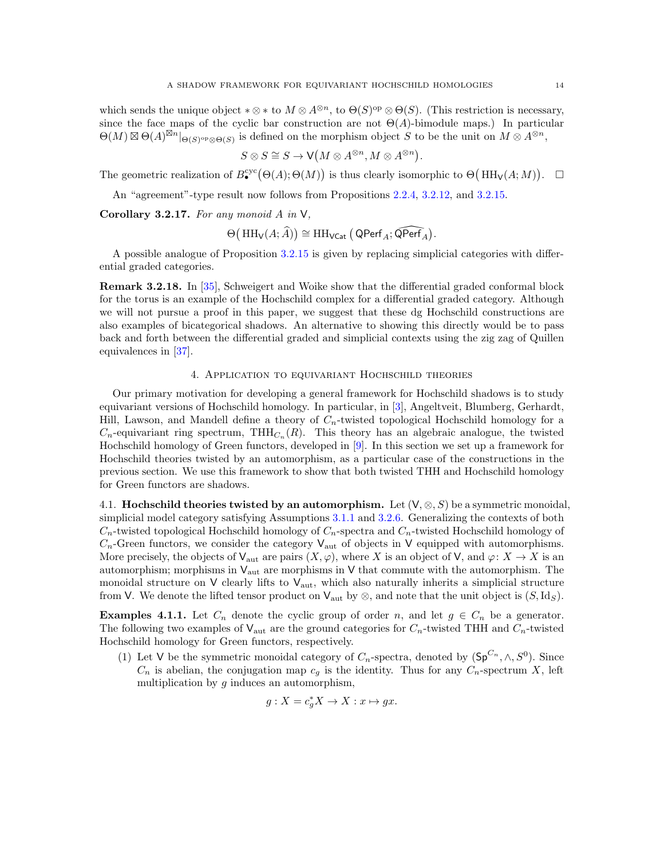which sends the unique object  $*\otimes *$  to  $M \otimes A^{\otimes n}$ , to  $\Theta(S)^{op} \otimes \Theta(S)$ . (This restriction is necessary, since the face maps of the cyclic bar construction are not  $\Theta(A)$ -bimodule maps.) In particular  $\Theta(M) \boxtimes \Theta(A)^{\boxtimes n}$   $\Big|_{\Theta(S)^{\rm op} \otimes \Theta(S)}$  is defined on the morphism object S to be the unit on  $M \otimes A^{\otimes n}$ ,

$$
S \otimes S \cong S \to \mathsf{V}(M \otimes A^{\otimes n}, M \otimes A^{\otimes n}).
$$

The geometric realization of  $B^{\text{cyc}}_{\bullet}(\Theta(A); \Theta(M))$  is thus clearly isomorphic to  $\Theta(HH_{\mathsf{V}}(A; M)). \square$ 

An "agreement"-type result now follows from Propositions [2.2.4,](#page-5-3) [3.2.12,](#page-11-0) and [3.2.15.](#page-12-0)

<span id="page-13-0"></span>Corollary 3.2.17. For any monoid  $A$  in  $V$ ,

$$
\Theta\big(\operatorname{HH}_{\mathsf{V}}(A;\widehat{A})\big) \cong \operatorname{HH}_{\mathsf{VCat}}\big(\operatorname{\mathsf{QPerf}}_A;\widehat{\operatorname{\mathsf{QPerf}}_A}\big).
$$

A possible analogue of Proposition [3.2.15](#page-12-0) is given by replacing simplicial categories with differential graded categories.

Remark 3.2.18. In [\[35\]](#page-30-17), Schweigert and Woike show that the differential graded conformal block for the torus is an example of the Hochschild complex for a differential graded category. Although we will not pursue a proof in this paper, we suggest that these dg Hochschild constructions are also examples of bicategorical shadows. An alternative to showing this directly would be to pass back and forth between the differential graded and simplicial contexts using the zig zag of Quillen equivalences in [\[37\]](#page-30-18).

## 4. Application to equivariant Hochschild theories

<span id="page-13-1"></span>Our primary motivation for developing a general framework for Hochschild shadows is to study equivariant versions of Hochschild homology. In particular, in [\[3\]](#page-29-0), Angeltveit, Blumberg, Gerhardt, Hill, Lawson, and Mandell define a theory of  $C_n$ -twisted topological Hochschild homology for a  $C_n$ -equivariant ring spectrum, THH $_{C_n}(R)$ . This theory has an algebraic analogue, the twisted Hochschild homology of Green functors, developed in [\[9\]](#page-30-2). In this section we set up a framework for Hochschild theories twisted by an automorphism, as a particular case of the constructions in the previous section. We use this framework to show that both twisted THH and Hochschild homology for Green functors are shadows.

<span id="page-13-2"></span>4.1. Hochschild theories twisted by an automorphism. Let  $(V, \otimes, S)$  be a symmetric monoidal, simplicial model category satisfying Assumptions [3.1.1](#page-5-2) and [3.2.6.](#page-8-0) Generalizing the contexts of both  $C_n$ -twisted topological Hochschild homology of  $C_n$ -spectra and  $C_n$ -twisted Hochschild homology of  $C_n$ -Green functors, we consider the category  $V_{\text{aut}}$  of objects in V equipped with automorphisms. More precisely, the objects of  $V_{\text{aut}}$  are pairs  $(X, \varphi)$ , where X is an object of V, and  $\varphi: X \to X$  is an automorphism; morphisms in  $V_{\text{aut}}$  are morphisms in V that commute with the automorphism. The monoidal structure on  $V$  clearly lifts to  $V_{\text{aut}}$ , which also naturally inherits a simplicial structure from V. We denote the lifted tensor product on  $V_{\text{aut}}$  by  $\otimes$ , and note that the unit object is  $(S, Id_S)$ .

<span id="page-13-3"></span>**Examples 4.1.1.** Let  $C_n$  denote the cyclic group of order n, and let  $g \in C_n$  be a generator. The following two examples of  $V_{\text{aut}}$  are the ground categories for  $C_n$ -twisted THH and  $C_n$ -twisted Hochschild homology for Green functors, respectively.

(1) Let V be the symmetric monoidal category of  $C_n$ -spectra, denoted by  $(Sp^{C_n}, \wedge, S^0)$ . Since  $C_n$  is abelian, the conjugation map  $c_q$  is the identity. Thus for any  $C_n$ -spectrum X, left multiplication by  $q$  induces an automorphism,

$$
g: X = c_g^* X \to X : x \mapsto gx.
$$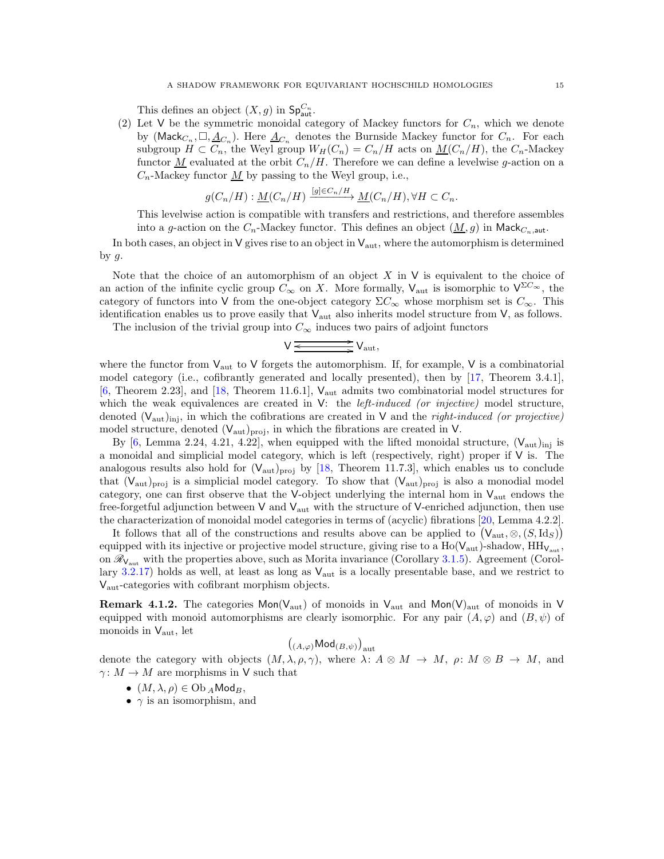This defines an object  $(X, g)$  in  $\mathsf{Sp}_{\mathsf{aut}}^{C_n}$ .

(2) Let V be the symmetric monoidal category of Mackey functors for  $C_n$ , which we denote by ( $\mathsf{Mack}_{C_n}, \Box, \underline{A}_{C_n}$ ). Here  $\underline{A}_{C_n}$  denotes the Burnside Mackey functor for  $C_n$ . For each subgroup  $H \subset C_n$ , the Weyl group  $W_H(C_n) = C_n/H$  acts on  $M(C_n/H)$ , the  $C_n$ -Mackey functor <u>M</u> evaluated at the orbit  $C_n/H$ . Therefore we can define a levelwise g-action on a  $C_n$ -Mackey functor  $\underline{M}$  by passing to the Weyl group, i.e.,

$$
g(C_n/H) : \underline{M}(C_n/H) \xrightarrow{[g] \in C_n/H} \underline{M}(C_n/H), \forall H \subset C_n.
$$

This levelwise action is compatible with transfers and restrictions, and therefore assembles into a g-action on the  $C_n$ -Mackey functor. This defines an object  $(M, g)$  in Mack $_{C_n, \text{aut}}$ .

In both cases, an object in  $V$  gives rise to an object in  $V_{\text{aut}}$ , where the automorphism is determined by  $g$ .

Note that the choice of an automorphism of an object  $X$  in  $\vee$  is equivalent to the choice of an action of the infinite cyclic group  $C_{\infty}$  on X. More formally,  $V_{\text{aut}}$  is isomorphic to  $V^{\Sigma C_{\infty}}$ , the category of functors into V from the one-object category  $\Sigma C_{\infty}$  whose morphism set is  $C_{\infty}$ . This identification enables us to prove easily that  $V_{\text{aut}}$  also inherits model structure from V, as follows.

The inclusion of the trivial group into  $C_{\infty}$  induces two pairs of adjoint functors

$$
V \xrightarrow{\underbrace{\qquad \qquad } \qquad } V_{\rm aut},
$$

where the functor from  $V_{\text{aut}}$  to V forgets the automorphism. If, for example, V is a combinatorial model category (i.e., cofibrantly generated and locally presented), then by [\[17,](#page-30-19) Theorem 3.4.1], [\[6,](#page-29-3) Theorem 2.23], and [\[18,](#page-30-9) Theorem 11.6.1],  $V_{\text{aut}}$  admits two combinatorial model structures for which the weak equivalences are created in  $V$ : the *left-induced (or injective)* model structure, denoted  $(V_{\text{aut}})_{\text{inj}}$ , in which the cofibrations are created in V and the *right-induced (or projective)* model structure, denoted  $(V_{\text{aut}})_{\text{proj}}$ , in which the fibrations are created in V.

By [\[6,](#page-29-3) Lemma 2.24, 4.21, 4.22], when equipped with the lifted monoidal structure,  $(V_{\text{aut}})_{\text{ini}}$  is a monoidal and simplicial model category, which is left (respectively, right) proper if  $V$  is. The analogous results also hold for  $(V_{\text{aut}})_{\text{proj}}$  by [\[18,](#page-30-9) Theorem 11.7.3], which enables us to conclude that  $(V_{\text{aut}})_{\text{proj}}$  is a simplicial model category. To show that  $(V_{\text{aut}})_{\text{proj}}$  is also a monodial model category, one can first observe that the V-object underlying the internal hom in  $V_{\text{aut}}$  endows the free-forgetful adjunction between  $V$  and  $V_{\text{aut}}$  with the structure of V-enriched adjunction, then use the characterization of monoidal model categories in terms of (acyclic) fibrations [\[20,](#page-30-20) Lemma 4.2.2].

It follows that all of the constructions and results above can be applied to  $(V_{\text{aut}}, \otimes, (S, \text{Id}_S))$ equipped with its injective or projective model structure, giving rise to a  $Ho(V_{aut})$ -shadow,  $HH_{V_{aut}}$ , on  $\mathcal{R}_{V_{\text{aut}}}$  with the properties above, such as Morita invariance (Corollary [3.1.5\)](#page-6-0). Agreement (Corol-lary [3.2.17\)](#page-13-0) holds as well, at least as long as  $V_{\text{aut}}$  is a locally presentable base, and we restrict to Vaut-categories with cofibrant morphism objects.

**Remark 4.1.2.** The categories  $Mon(V_{\text{aut}})$  of monoids in  $V_{\text{aut}}$  and  $Mon(V)_{\text{aut}}$  of monoids in V equipped with monoid automorphisms are clearly isomorphic. For any pair  $(A, \varphi)$  and  $(B, \psi)$  of monoids in  $V_{\text{aut}}$ , let

$$
\left( _{(A,\varphi)}\mathsf{Mod}_{(B,\psi)}\right) _{\mathrm{aut}}
$$

denote the category with objects  $(M, \lambda, \rho, \gamma)$ , where  $\lambda: A \otimes M \to M$ ,  $\rho: M \otimes B \to M$ , and  $\gamma: M \to M$  are morphisms in V such that

- $(M, \lambda, \rho) \in \mathrm{Ob}_A \mathsf{Mod}_B$ ,
- $\gamma$  is an isomorphism, and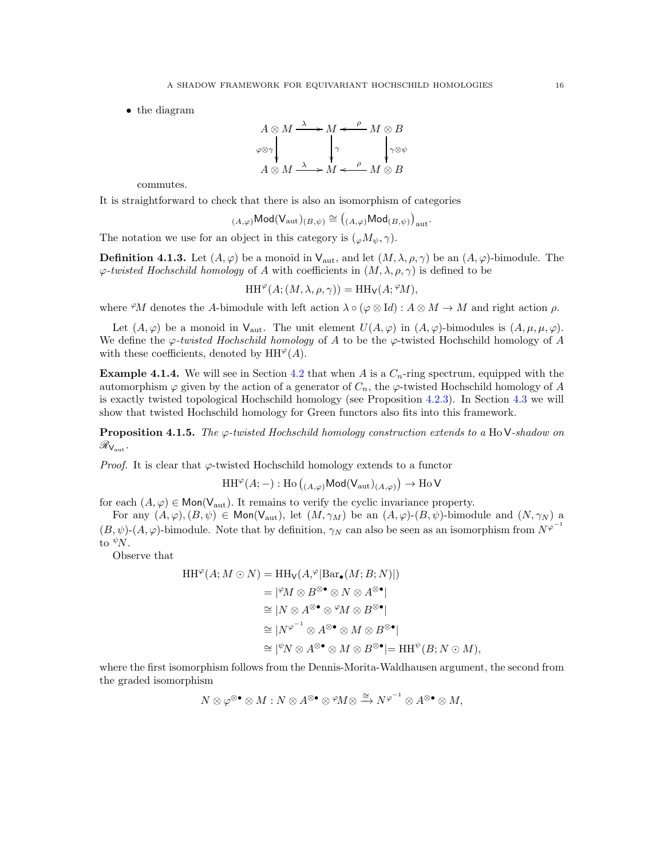• the diagram

$$
A \otimes M \xrightarrow{\lambda} M \xleftarrow{\rho} M \otimes B
$$
  
\n
$$
\downarrow \gamma
$$
  
\n
$$
A \otimes M \xrightarrow{\lambda} M \xleftarrow{\rho} M \otimes B
$$
  
\n
$$
B \otimes M \xrightarrow{\lambda} M \xleftarrow{\rho} M \otimes B
$$

commutes.

It is straightforward to check that there is also an isomorphism of categories

$$
_{(A,\varphi)}\mathsf{Mod}(\mathsf{V}_{\mathrm{aut}})_{(B,\psi)} \cong \left({_{(A,\varphi)}\mathsf{Mod}_{(B,\psi)}}\right)_{\mathrm{aut}}.
$$

The notation we use for an object in this category is  $({}_{\varphi}M_{\psi}, \gamma)$ .

<span id="page-15-1"></span>**Definition 4.1.3.** Let  $(A, \varphi)$  be a monoid in  $V_{\text{aut}}$ , and let  $(M, \lambda, \rho, \gamma)$  be an  $(A, \varphi)$ -bimodule. The  $\varphi$ -twisted Hochschild homology of A with coefficients in  $(M, \lambda, \rho, \gamma)$  is defined to be

$$
\operatorname{HH}\nolimits^{\varphi}(A; (M, \lambda, \rho, \gamma)) = \operatorname{HH}\nolimits_{\mathsf{V}}(A; \mathcal{C}M),
$$

where  $\mathcal{P}M$  denotes the A-bimodule with left action  $\lambda \circ (\varphi \otimes \text{Id}) : A \otimes M \to M$  and right action  $\rho$ .

Let  $(A, \varphi)$  be a monoid in  $V_{\text{aut}}$ . The unit element  $U(A, \varphi)$  in  $(A, \varphi)$ -bimodules is  $(A, \mu, \mu, \varphi)$ . We define the  $\varphi$ -twisted Hochschild homology of A to be the  $\varphi$ -twisted Hochschild homology of A with these coefficients, denoted by  $HH^{\varphi}(A)$ .

**Example 4.1.4.** We will see in Section [4.2](#page-16-0) that when A is a  $C_n$ -ring spectrum, equipped with the automorphism  $\varphi$  given by the action of a generator of  $C_n$ , the  $\varphi$ -twisted Hochschild homology of A is exactly twisted topological Hochschild homology (see Proposition [4.2.3\)](#page-17-2). In Section [4.3](#page-17-3) we will show that twisted Hochschild homology for Green functors also fits into this framework.

<span id="page-15-0"></span>**Proposition 4.1.5.** The  $\varphi$ -twisted Hochschild homology construction extends to a Ho V-shadow on  $\mathscr{R}_{\mathsf{V}_\text{aut}}.$ 

*Proof.* It is clear that  $\varphi$ -twisted Hochschild homology extends to a functor

$$
\operatorname{HH}\nolimits^\varphi(A;-): \operatorname{Ho}\nolimits\left(\right._{(A,\varphi)}\mathsf{Mod}(\mathsf{V}_{\operatorname{aut}})_{(A,\varphi)}\right) \to \operatorname{Ho}\nolimits\mathsf{V}
$$

for each  $(A, \varphi) \in \text{Mon}(V_{\text{aut}})$ . It remains to verify the cyclic invariance property.

For any  $(A, \varphi), (B, \psi) \in \text{Mon}(V_{\text{aut}})$ , let  $(M, \gamma_M)$  be an  $(A, \varphi)$ - $(B, \psi)$ -bimodule and  $(N, \gamma_N)$  a  $(B, \psi)$ - $(A, \varphi)$ -bimodule. Note that by definition,  $\gamma_N$  can also be seen as an isomorphism from  $N^{\varphi^{-1}}$ to  $\sqrt[\psi]{N}$ .

Observe that

$$
HH^{\varphi}(A; M \odot N) = HH_{V}(A,^{\varphi}|\text{Bar}_{\bullet}(M; B; N)|)
$$
  
\n
$$
= |^{\varphi}M \otimes B^{\otimes \bullet} \otimes N \otimes A^{\otimes \bullet}|
$$
  
\n
$$
\cong |N \otimes A^{\otimes \bullet} \otimes^{\varphi}M \otimes B^{\otimes \bullet}|
$$
  
\n
$$
\cong |N^{\varphi^{-1}} \otimes A^{\otimes \bullet} \otimes M \otimes B^{\otimes \bullet}|
$$
  
\n
$$
\cong |^{\psi}N \otimes A^{\otimes \bullet} \otimes M \otimes B^{\otimes \bullet}| = HH^{\psi}(B; N \odot M),
$$

where the first isomorphism follows from the Dennis-Morita-Waldhausen argument, the second from the graded isomorphism

$$
N\otimes \varphi^{\otimes \bullet} \otimes M: N\otimes A^{\otimes \bullet} \otimes {}^\varphi\!M \otimes \xrightarrow{\cong} N^{\varphi^{-1}} \otimes A^{\otimes \bullet} \otimes M,
$$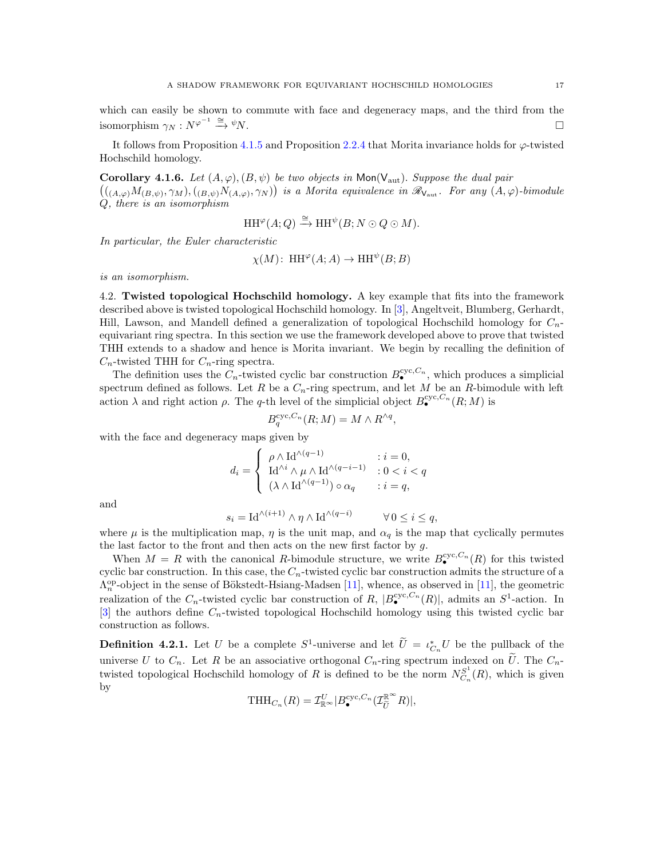which can easily be shown to commute with face and degeneracy maps, and the third from the isomorphism  $\gamma_N : N^{\varphi^{-1}} \stackrel{\cong}{\longrightarrow} {}^{\psi}N$ .  $\stackrel{-1}{\longrightarrow} \stackrel{\cong}{\longrightarrow} \psi N.$ 

It follows from Proposition [4.1.5](#page-15-0) and Proposition [2.2.4](#page-5-3) that Morita invariance holds for  $\varphi$ -twisted Hochschild homology.

<span id="page-16-1"></span>Corollary 4.1.6. Let  $(A, \varphi), (B, \psi)$  be two objects in Mon(V<sub>aut</sub>). Suppose the dual pair  $((A_{\alpha\varphi})M_{(B,\psi)},\gamma_M),((B_{\alpha\psi})N_{(A,\varphi)},\gamma_N))$  is a Morita equivalence in  $\mathscr{R}_{\mathsf{V}_{\text{aut}}}$ . For any  $(A,\varphi)$ -bimodule Q, there is an isomorphism

$$
\operatorname{HH}\nolimits^\varphi(A;Q) \xrightarrow{\cong} \operatorname{HH}\nolimits^\psi(B;N \odot Q \odot M).
$$

In particular, the Euler characteristic

$$
\chi(M)
$$
: HH <sup>$\varphi$</sup>  $(A; A) \to HH^{\psi}(B; B)$ 

<span id="page-16-0"></span>is an isomorphism.

4.2. Twisted topological Hochschild homology. A key example that fits into the framework described above is twisted topological Hochschild homology. In [\[3\]](#page-29-0), Angeltveit, Blumberg, Gerhardt, Hill, Lawson, and Mandell defined a generalization of topological Hochschild homology for  $C_n$ equivariant ring spectra. In this section we use the framework developed above to prove that twisted THH extends to a shadow and hence is Morita invariant. We begin by recalling the definition of  $C_n$ -twisted THH for  $C_n$ -ring spectra.

The definition uses the  $C_n$ -twisted cyclic bar construction  $B_{\bullet}^{\text{cyc},C_n}$ , which produces a simplicial spectrum defined as follows. Let R be a  $C_n$ -ring spectrum, and let M be an R-bimodule with left action  $\lambda$  and right action  $\rho$ . The q-th level of the simplicial object  $B_{\bullet}^{cyc,C_n}(R;M)$  is

$$
B_q^{\text{cyc},C_n}(R;M) = M \wedge R^{\wedge q},
$$

with the face and degeneracy maps given by

$$
d_i = \left\{ \begin{array}{ll} \rho \wedge \mathrm{Id}^{\wedge (q-1)} & : i = 0, \\ \mathrm{Id}^{\wedge i} \wedge \mu \wedge \mathrm{Id}^{\wedge (q-i-1)} & : 0 < i < q \\ (\lambda \wedge \mathrm{Id}^{\wedge (q-1)}) \circ \alpha_q & : i = q, \end{array} \right.
$$

and

$$
s_i = \mathrm{Id}^{\wedge (i+1)} \wedge \eta \wedge \mathrm{Id}^{\wedge (q-i)} \qquad \forall \, 0 \le i \le q,
$$

where  $\mu$  is the multiplication map,  $\eta$  is the unit map, and  $\alpha_q$  is the map that cyclically permutes the last factor to the front and then acts on the new first factor by  $g$ .

When  $M = R$  with the canonical R-bimodule structure, we write  $B_{\bullet}^{cyc, C_n}(R)$  for this twisted cyclic bar construction. In this case, the  $C_n$ -twisted cyclic bar construction admits the structure of a  $\Lambda_n^{\text{op}}$ -object in the sense of Bökstedt-Hsiang-Madsen [\[11\]](#page-30-0), whence, as observed in [11], the geometric realization of the  $C_n$ -twisted cyclic bar construction of R,  $|B_{\bullet}^{cyc,C_n}(R)|$ , admits an  $S^1$ -action. In  $[3]$  the authors define  $C_n$ -twisted topological Hochschild homology using this twisted cyclic bar construction as follows.

**Definition 4.2.1.** Let U be a complete  $S^1$ -universe and let  $\hat{U} = \iota_{C_n}^* U$  be the pullback of the universe U to  $C_n$ . Let R be an associative orthogonal  $C_n$ -ring spectrum indexed on  $\tilde{U}$ . The  $C_n$ twisted topological Hochschild homology of R is defined to be the norm  $N_{C_n}^{S^1}(R)$ , which is given by

$$
\text{THH}_{C_n}(R) = \mathcal{I}_{\mathbb{R}^\infty}^U | B_{\bullet}^{\text{cyc}, C_n}(\mathcal{I}_{\widetilde{U}}^{\mathbb{R}^\infty} R)|,
$$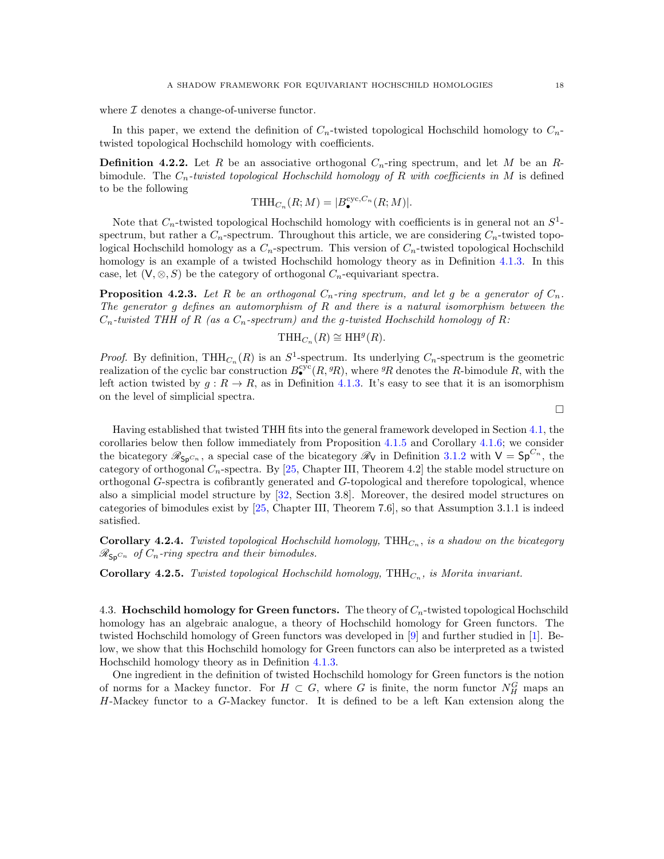where  $\mathcal I$  denotes a change-of-universe functor.

In this paper, we extend the definition of  $C_n$ -twisted topological Hochschild homology to  $C_n$ twisted topological Hochschild homology with coefficients.

**Definition 4.2.2.** Let R be an associative orthogonal  $C_n$ -ring spectrum, and let M be an Rbimodule. The  $C_n$ -twisted topological Hochschild homology of R with coefficients in M is defined to be the following

$$
\text{THH}_{C_n}(R;M) = |B_{\bullet}^{\text{cyc},C_n}(R;M)|.
$$

Note that  $C_n$ -twisted topological Hochschild homology with coefficients is in general not an  $S^1$ spectrum, but rather a  $C_n$ -spectrum. Throughout this article, we are considering  $C_n$ -twisted topological Hochschild homology as a  $C_n$ -spectrum. This version of  $C_n$ -twisted topological Hochschild homology is an example of a twisted Hochschild homology theory as in Definition [4.1.3.](#page-15-1) In this case, let  $(V, \otimes, S)$  be the category of orthogonal  $C_n$ -equivariant spectra.

<span id="page-17-2"></span>**Proposition 4.2.3.** Let R be an orthogonal  $C_n$ -ring spectrum, and let g be a generator of  $C_n$ . The generator g defines an automorphism of R and there is a natural isomorphism between the  $C_n$ -twisted THH of R (as a  $C_n$ -spectrum) and the g-twisted Hochschild homology of R:

$$
\text{THH}_{C_n}(R) \cong \text{HH}^g(R).
$$

*Proof.* By definition, THH<sub>Cn</sub>(R) is an  $S^1$ -spectrum. Its underlying  $C_n$ -spectrum is the geometric realization of the cyclic bar construction  $B_{\bullet}^{cyc}(R, {}^{g}R)$ , where  ${}^{g}R$  denotes the R-bimodule R, with the left action twisted by  $q: R \to R$ , as in Definition [4.1.3.](#page-15-1) It's easy to see that it is an isomorphism on the level of simplicial spectra.

 $\Box$ 

Having established that twisted THH fits into the general framework developed in Section [4.1,](#page-13-2) the corollaries below then follow immediately from Proposition [4.1.5](#page-15-0) and Corollary [4.1.6;](#page-16-1) we consider the bicategory  $\mathscr{R}_{Sp^{C_n}}$ , a special case of the bicategory  $\mathscr{R}_{V}$  in Definition [3.1.2](#page-6-1) with  $V = Sp^{C_n}$ , the category of orthogonal  $C_n$ -spectra. By [\[25,](#page-30-21) Chapter III, Theorem 4.2] the stable model structure on orthogonal G-spectra is cofibrantly generated and G-topological and therefore topological, whence also a simplicial model structure by [\[32,](#page-30-14) Section 3.8]. Moreover, the desired model structures on categories of bimodules exist by [\[25,](#page-30-21) Chapter III, Theorem 7.6], so that Assumption 3.1.1 is indeed satisfied.

<span id="page-17-0"></span>**Corollary 4.2.4.** Twisted topological Hochschild homology,  $THH_{C_n}$ , is a shadow on the bicategory  $\mathscr{R}_{\mathsf{Sp}^{C_n}}$  of  $C_n$ -ring spectra and their bimodules.

<span id="page-17-1"></span>**Corollary 4.2.5.** Twisted topological Hochschild homology, THH $_{C_n}$ , is Morita invariant.

<span id="page-17-3"></span>4.3. Hochschild homology for Green functors. The theory of  $C_n$ -twisted topological Hochschild homology has an algebraic analogue, a theory of Hochschild homology for Green functors. The twisted Hochschild homology of Green functors was developed in [\[9\]](#page-30-2) and further studied in [\[1\]](#page-29-1). Below, we show that this Hochschild homology for Green functors can also be interpreted as a twisted Hochschild homology theory as in Definition [4.1.3.](#page-15-1)

One ingredient in the definition of twisted Hochschild homology for Green functors is the notion of norms for a Mackey functor. For  $H \subset G$ , where G is finite, the norm functor  $N_H^G$  maps an H-Mackey functor to a G-Mackey functor. It is defined to be a left Kan extension along the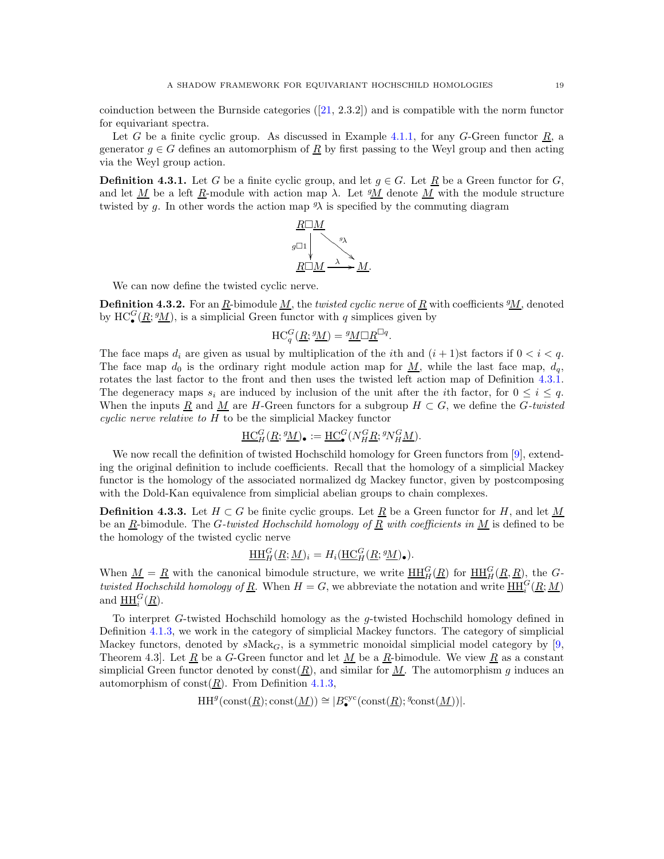coinduction between the Burnside categories  $([21, 2.3.2])$  $([21, 2.3.2])$  $([21, 2.3.2])$  and is compatible with the norm functor for equivariant spectra.

Let G be a finite cyclic group. As discussed in Example [4.1.1,](#page-13-3) for any G-Green functor  $\underline{R}$ , a generator  $g \in G$  defines an automorphism of  $\underline{R}$  by first passing to the Weyl group and then acting via the Weyl group action.

<span id="page-18-0"></span>**Definition 4.3.1.** Let G be a finite cyclic group, and let  $g \in G$ . Let  $\underline{R}$  be a Green functor for G, and let  $\underline{M}$  be a left  $\underline{R}$ -module with action map  $\lambda$ . Let  $\underline{M}$  denote  $\underline{M}$  with the module structure twisted by g. In other words the action map  $\mathcal{Y}$  is specified by the commuting diagram



We can now define the twisted cyclic nerve.

**Definition 4.3.2.** For an  $\underline{R}$ -bimodule  $\underline{M}$ , the twisted cyclic nerve of  $\underline{R}$  with coefficients  $\underline{M}$ , denoted by  $HC_{\bullet}^G(\underline{R}; \underline{^gM})$ , is a simplicial Green functor with q simplices given by

$$
\mathrm{HC}_q^G(\underline{R}; \underline{^gM}) = \underline{^gM\Box R}^{\Box q}.
$$

The face maps  $d_i$  are given as usual by multiplication of the *i*th and  $(i + 1)$ st factors if  $0 < i < q$ . The face map  $d_0$  is the ordinary right module action map for  $\underline{M}$ , while the last face map,  $d_q$ , rotates the last factor to the front and then uses the twisted left action map of Definition [4.3.1.](#page-18-0) The degeneracy maps  $s_i$  are induced by inclusion of the unit after the *i*th factor, for  $0 \leq i \leq q$ . When the inputs <u>R</u> and <u>M</u> are H-Green functors for a subgroup  $H \subset G$ , we define the G-twisted cyclic nerve relative to H to be the simplicial Mackey functor

$$
\underline{\mathrm{HC}}_H^G(\underline{R}; {}^g \underline{M})_\bullet := \underline{\mathrm{HC}}_\bullet^G(N_H^G \underline{R}; {}^g N_H^G \underline{M}).
$$

We now recall the definition of twisted Hochschild homology for Green functors from [\[9\]](#page-30-2), extending the original definition to include coefficients. Recall that the homology of a simplicial Mackey functor is the homology of the associated normalized dg Mackey functor, given by postcomposing with the Dold-Kan equivalence from simplicial abelian groups to chain complexes.

**Definition 4.3.3.** Let  $H \subset G$  be finite cyclic groups. Let  $\underline{R}$  be a Green functor for H, and let M be an  $\underline{R}$ -bimodule. The G-twisted Hochschild homology of  $\underline{R}$  with coefficients in  $\underline{M}$  is defined to be the homology of the twisted cyclic nerve

$$
\underline{\mathrm{HH}}_H^G(\underline{R}; \underline{M})_i = H_i(\underline{\mathrm{HC}}_H^G(\underline{R}; \underline{^g}\underline{M})_\bullet).
$$

When  $\underline{M} = \underline{R}$  with the canonical bimodule structure, we write  $\underline{HH}_H^G(\underline{R})$  for  $\underline{HH}_H^G(\underline{R},\underline{R})$ , the Gtwisted Hochschild homology of R. When  $H = G$ , we abbreviate the notation and write  $\underline{HH}_{i}^{G}(\underline{R};\underline{M})$ and  $\underline{\text{HH}}_i^G(\underline{R})$ .

To interpret G-twisted Hochschild homology as the g-twisted Hochschild homology defined in Definition [4.1.3,](#page-15-1) we work in the category of simplicial Mackey functors. The category of simplicial Mackey functors, denoted by  $s\text{Mack}_G$ , is a symmetric monoidal simplicial model category by [\[9,](#page-30-2) Theorem 4.3. Let  $\underline{R}$  be a G-Green functor and let  $\underline{M}$  be a  $\underline{R}$ -bimodule. We view  $\underline{R}$  as a constant simplicial Green functor denoted by  $\text{const}(\underline{R})$ , and similar for  $\underline{M}$ . The automorphism g induces an automorphism of const $(R)$ . From Definition [4.1.3,](#page-15-1)

$$
\mathrm{HH}^g(\mathrm{const}(\underline{R});\mathrm{const}(\underline{M}))\cong |B^{\mathrm{cyc}}_{\bullet}(\mathrm{const}(\underline{R});{}^g\!\mathrm{const}(\underline{M}))|.
$$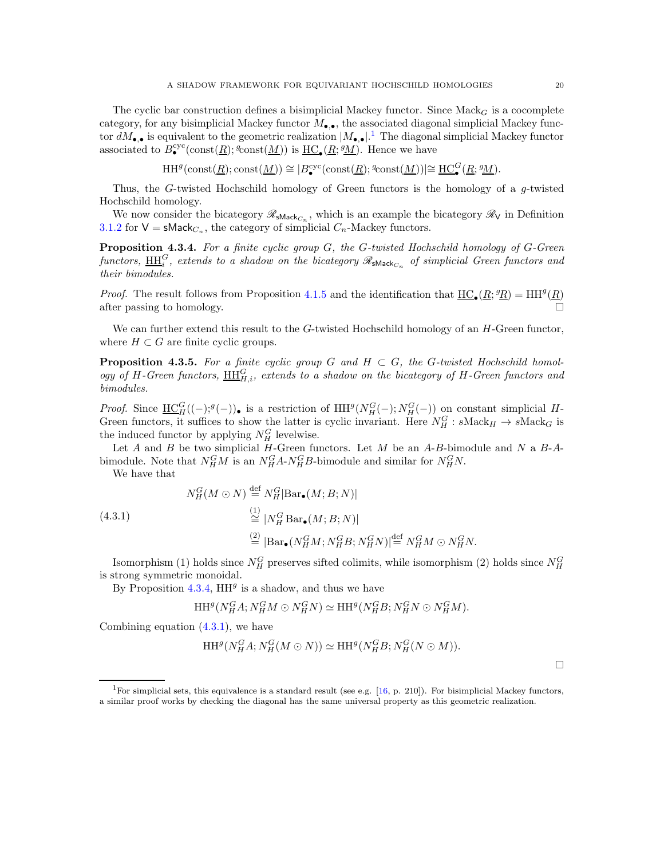The cyclic bar construction defines a bisimplicial Mackey functor. Since  $Mack_G$  is a cocomplete category, for any bisimplicial Mackey functor  $M_{\bullet,\bullet}$ , the associated diagonal simplicial Mackey functor  $dM_{\bullet,\bullet}$  is equivalent to the geometric realization  $|M_{\bullet,\bullet}|$ .<sup>[1](#page-19-1)</sup> The diagonal simplicial Mackey functor associated to  $B_{\bullet}^{\text{cyc}}(\text{const}(\underline{R}); \text{const}(\underline{M}))$  is  $\underline{\text{HC}}_{\bullet}(\underline{R}; \text{M})$ . Hence we have

$$
\mathrm{HH}^g(\mathrm{const}(\underline{R});\mathrm{const}(\underline{M}))\cong |B^{\mathrm{cyc}}_{\bullet}(\mathrm{const}(\underline{R});{}^g\mathrm{const}(\underline{M}))|\cong \underline{\mathrm{HC}}_{\bullet}^G(\underline{R};{}^g\underline{M}).
$$

Thus, the G-twisted Hochschild homology of Green functors is the homology of a  $q$ -twisted Hochschild homology.

We now consider the bicategory  $\mathscr{R}_{\mathsf{sMack}_{C_n}}$ , which is an example the bicategory  $\mathscr{R}_{\mathsf{V}}$  in Definition [3.1.2](#page-6-1) for  $V = sMack_{C_n}$ , the category of simplicial  $C_n$ -Mackey functors.

<span id="page-19-0"></span>**Proposition 4.3.4.** For a finite cyclic group  $G$ , the  $G$ -twisted Hochschild homology of  $G$ -Green functors,  $\overline{\rm HH}_i^G$ , extends to a shadow on the bicategory  $\mathscr R_{\rm sMack_{C_n}}$  of simplicial Green functors and their bimodules.

*Proof.* The result follows from Proposition [4.1.5](#page-15-0) and the identification that  $\underline{HC}_\bullet(R; {}^g R) = HH^g(R)$ after passing to homology.

We can further extend this result to the  $G$ -twisted Hochschild homology of an  $H$ -Green functor, where  $H \subset G$  are finite cyclic groups.

<span id="page-19-3"></span>**Proposition 4.3.5.** For a finite cyclic group G and  $H \subset G$ , the G-twisted Hochschild homology of H-Green functors,  $\underline{HH}_{H,i}^G$ , extends to a shadow on the bicategory of H-Green functors and bimodules.

*Proof.* Since  $\underline{HC}^G_H(-);g(-)$ , is a restriction of  $HH^g(N_H^G(-);N_H^G(-))$  on constant simplicial H-Green functors, it suffices to show the latter is cyclic invariant. Here  $N_H^G$ :  $s\text{Mack}_H \to s\text{Mack}_G$  is the induced functor by applying  $N_H^G$  levelwise.

Let  $A$  and  $B$  be two simplicial  $H$ -Green functors. Let  $M$  be an  $A$ - $B$ -bimodule and  $N$  a  $B$ - $A$ bimodule. Note that  $N_H^G M$  is an  $N_H^G A$ - $N_H^G B$ -bimodule and similar for  $N_H^G N$ .

<span id="page-19-2"></span>We have that

(4.3.1)  
\n
$$
N_H^G(M \odot N) \stackrel{\text{def}}{=} N_H^G|\text{Bar}_{\bullet}(M; B; N)|
$$
\n
$$
\stackrel{(1)}{\cong} |N_H^G \text{Bar}_{\bullet}(M; B; N)|
$$
\n
$$
\stackrel{(2)}{=} |\text{Bar}_{\bullet}(N_H^G M; N_H^G B; N_H^G N)| \stackrel{\text{def}}{=} N_H^G M \odot N_H^G N.
$$

Isomorphism (1) holds since  $N_H^G$  preserves sifted colimits, while isomorphism (2) holds since  $N_H^G$ is strong symmetric monoidal.

By Proposition  $4.3.4$ ,  $HH<sup>g</sup>$  is a shadow, and thus we have

$$
\mathop{\mathrm{HH}}\nolimits^g(N^G_HA; N^G_HM \odot N^G_HN) \simeq \mathop{\mathrm{HH}}\nolimits^g(N^G_HB; N^G_HN \odot N^G_HM).
$$

Combining equation  $(4.3.1)$ , we have

$$
\mathrm{HH}^g(N_H^G A; N_H^G (M \odot N)) \simeq \mathrm{HH}^g(N_H^G B; N_H^G (N \odot M)).
$$

 $\Box$ 

<span id="page-19-1"></span><sup>&</sup>lt;sup>1</sup>For simplicial sets, this equivalence is a standard result (see e.g.  $[16, p. 210]$ ). For bisimplicial Mackey functors, a similar proof works by checking the diagonal has the same universal property as this geometric realization.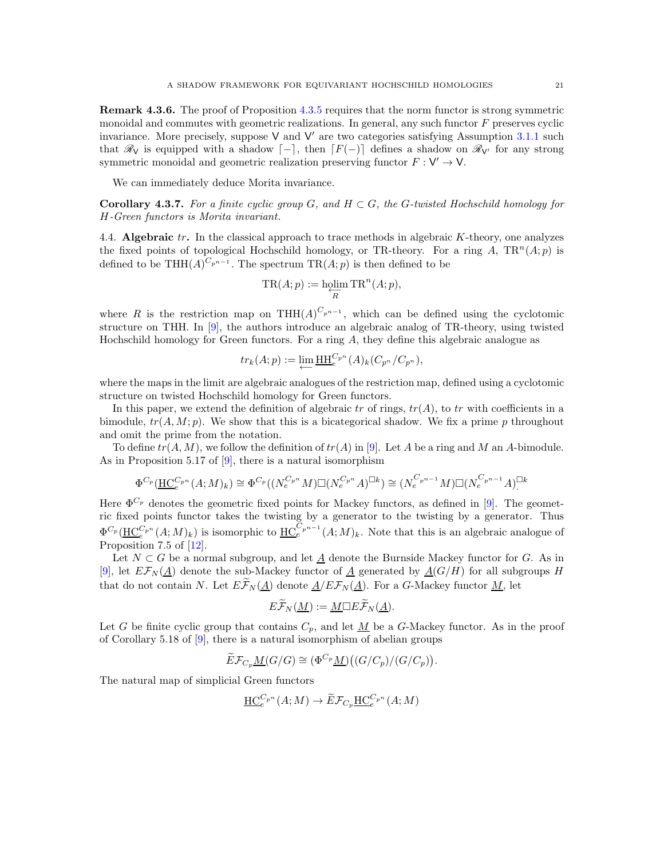Remark 4.3.6. The proof of Proposition [4.3.5](#page-19-3) requires that the norm functor is strong symmetric monoidal and commutes with geometric realizations. In general, any such functor F preserves cyclic invariance. More precisely, suppose V and V' are two categories satisfying Assumption [3.1.1](#page-5-2) such that  $\mathscr{R}_V$  is equipped with a shadow  $\lceil - \rceil$ , then  $\lceil F(-) \rceil$  defines a shadow on  $\mathscr{R}_{V'}$  for any strong symmetric monoidal and geometric realization preserving functor  $F: V' \to V$ .

We can immediately deduce Morita invariance.

<span id="page-20-0"></span>Corollary 4.3.7. For a finite cyclic group G, and  $H \subset G$ , the G-twisted Hochschild homology for H-Green functors is Morita invariant.

4.4. Algebraic  $tr$ . In the classical approach to trace methods in algebraic  $K$ -theory, one analyzes the fixed points of topological Hochschild homology, or TR-theory. For a ring A,  $TR^n(A; p)$  is defined to be THH $(A)^{C_{p^{n-1}}}$ . The spectrum TR $(A; p)$  is then defined to be

$$
TR(A; p) := \underset{R}{\text{holim}} TR^{n}(A; p),
$$

where R is the restriction map on THH( $A$ )<sup> $C_{p^{n-1}}$ </sup>, which can be defined using the cyclotomic structure on THH. In [\[9\]](#page-30-2), the authors introduce an algebraic analog of TR-theory, using twisted Hochschild homology for Green functors. For a ring A, they define this algebraic analogue as

$$
tr_k(A;p) := \varprojlim \underline{\mathrm{HH}}_e^{C_{p^n}}(A)_k (C_{p^n}/C_{p^n}),
$$

where the maps in the limit are algebraic analogues of the restriction map, defined using a cyclotomic structure on twisted Hochschild homology for Green functors.

In this paper, we extend the definition of algebraic tr of rings,  $tr(A)$ , to tr with coefficients in a bimodule,  $tr(A, M; p)$ . We show that this is a bicategorical shadow. We fix a prime p throughout and omit the prime from the notation.

To define  $tr(A, M)$ , we follow the definition of  $tr(A)$  in [\[9\]](#page-30-2). Let A be a ring and M an A-bimodule. As in Proposition 5.17 of  $[9]$ , there is a natural isomorphism

$$
\Phi^{C_p}(\underline{HC}_{e}^{C_{p^n}}(A;M)_k) \cong \Phi^{C_p}((N_e^{C_{p^n}}M) \square (N_e^{C_{p^n}}A)^{\square k}) \cong (N_e^{C_{p^{n-1}}}M) \square (N_e^{C_{p^{n-1}}}A)^{\square k}
$$

Here  $\Phi^{C_p}$  denotes the geometric fixed points for Mackey functors, as defined in [\[9\]](#page-30-2). The geometric fixed points functor takes the twisting by a generator to the twisting by a generator. Thus  $\Phi^{C_p}(\underline{HC}^{C_p n}_{e}(A;M)_k)$  is isomorphic to  $\underline{HC}^{C_p n-1}_{e}(A;M)_k$ . Note that this is an algebraic analogue of Proposition 7.5 of [\[12\]](#page-30-6).

Let  $N \subset G$  be a normal subgroup, and let  $\underline{A}$  denote the Burnside Mackey functor for G. As in [\[9\]](#page-30-2), let  $E\mathcal{F}_N(\underline{A})$  denote the sub-Mackey functor of  $\underline{A}$  generated by  $\underline{A}(G/H)$  for all subgroups H that do not contain N. Let  $E\widetilde{\mathcal{F}}_N(\underline{A})$  denote  $\underline{A}/E\mathcal{F}_N(\underline{A})$ . For a G-Mackey functor  $\underline{M}$ , let

$$
E\widetilde{\mathcal{F}}_N(\underline{M}) := \underline{M} \Box E\widetilde{\mathcal{F}}_N(\underline{A}).
$$

Let G be finite cyclic group that contains  $C_p$ , and let  $\underline{M}$  be a G-Mackey functor. As in the proof of Corollary 5.18 of [\[9\]](#page-30-2), there is a natural isomorphism of abelian groups

$$
\widetilde{E} \mathcal{F}_{C_p} \underline{M}(G/G) \cong (\Phi^{C_p} \underline{M}) ((G/C_p)/(G/C_p)).
$$

The natural map of simplicial Green functors

$$
\underline{\mathrm{HC}}_{e}^{C_{p^n}}(A;M) \to \widetilde{E} \mathcal{F}_{C_p} \underline{\mathrm{HC}}_{e}^{C_{p^n}}(A;M)
$$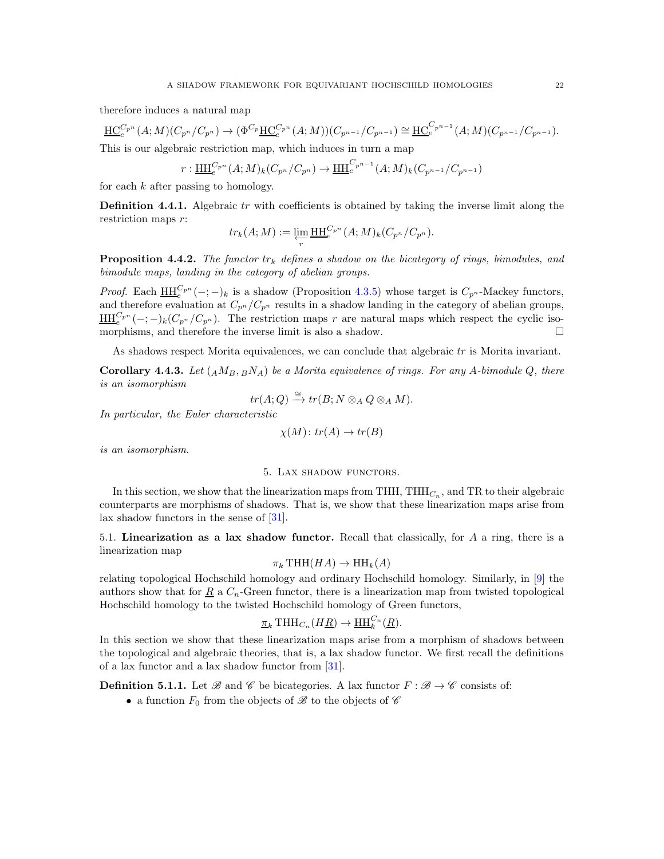therefore induces a natural map

$$
\underline{HC}_{e}^{C_{p^{n}}}(A;M)(C_{p^{n}}/C_{p^{n}}) \to (\Phi^{C_{p}}\underline{HC}_{e}^{C_{p^{n}}}(A;M))(C_{p^{n-1}}/C_{p^{n-1}}) \cong \underline{HC}_{e}^{C_{p^{n-1}}}(A;M)(C_{p^{n-1}}/C_{p^{n-1}}).
$$
  
This is our algebraic restriction man which induces in turn a man.

This is our algebraic restriction map, which induces in turn a map

$$
r: \underline{HH}_{e}^{C_{p^{n}}}(A;M)_{k}(C_{p^{n}}/C_{p^{n}}) \to \underline{HH}_{e}^{C_{p^{n-1}}}(A;M)_{k}(C_{p^{n-1}}/C_{p^{n-1}})
$$

for each  $k$  after passing to homology.

**Definition 4.4.1.** Algebraic  $tr$  with coefficients is obtained by taking the inverse limit along the restriction maps r:

$$
tr_k(A;M) := \varprojlim_r \underline{\mathrm{HH}}_e^{C_{p^n}}(A;M)_k (C_{p^n}/C_{p^n}).
$$

<span id="page-21-1"></span>**Proposition 4.4.2.** The functor  $tr_k$  defines a shadow on the bicategory of rings, bimodules, and bimodule maps, landing in the category of abelian groups.

*Proof.* Each  $\underline{HH}_{e}^{C_{p^{n}}}(-;-)_{k}$  is a shadow (Proposition [4.3.5\)](#page-19-3) whose target is  $C_{p^{n}}$ -Mackey functors, and therefore evaluation at  $C_{p^n}/C_{p^n}$  results in a shadow landing in the category of abelian groups,  $\underline{\text{HH}}_{e}^{C_{p^n}}(-;-)_{k}(C_{p^n}/C_{p^n}).$  The restriction maps r are natural maps which respect the cyclic isomorphisms, and therefore the inverse limit is also a shadow.

As shadows respect Morita equivalences, we can conclude that algebraic tr is Morita invariant.

**Corollary 4.4.3.** Let  $(AM_B, BNA)$  be a Morita equivalence of rings. For any A-bimodule Q, there is an isomorphism

$$
tr(A;Q) \xrightarrow{\cong} tr(B;N\otimes_A Q \otimes_A M).
$$

In particular, the Euler characteristic

$$
\chi(M) \colon tr(A) \to tr(B)
$$

<span id="page-21-0"></span>is an isomorphism.

#### 5. Lax shadow functors.

In this section, we show that the linearization maps from THH, THH<sub>C<sub>n</sub></sub>, and TR to their algebraic counterparts are morphisms of shadows. That is, we show that these linearization maps arise from lax shadow functors in the sense of [\[31\]](#page-30-4).

5.1. Linearization as a lax shadow functor. Recall that classically, for A a ring, there is a linearization map

$$
\pi_k \text{THH}(HA) \to \text{HH}_k(A)
$$

relating topological Hochschild homology and ordinary Hochschild homology. Similarly, in [\[9\]](#page-30-2) the authors show that for  $\underline{R}$  a  $C_n$ -Green functor, there is a linearization map from twisted topological Hochschild homology to the twisted Hochschild homology of Green functors,

$$
\underline{\pi}_k \text{THH}_{C_n}(H\underline{R}) \to \underline{\text{HH}}_k^{C_n}(\underline{R}).
$$

In this section we show that these linearization maps arise from a morphism of shadows between the topological and algebraic theories, that is, a lax shadow functor. We first recall the definitions of a lax functor and a lax shadow functor from [\[31\]](#page-30-4).

**Definition 5.1.1.** Let  $\mathscr{B}$  and  $\mathscr{C}$  be bicategories. A lax functor  $F : \mathscr{B} \to \mathscr{C}$  consists of:

• a function  $F_0$  from the objects of  $\mathscr B$  to the objects of  $\mathscr C$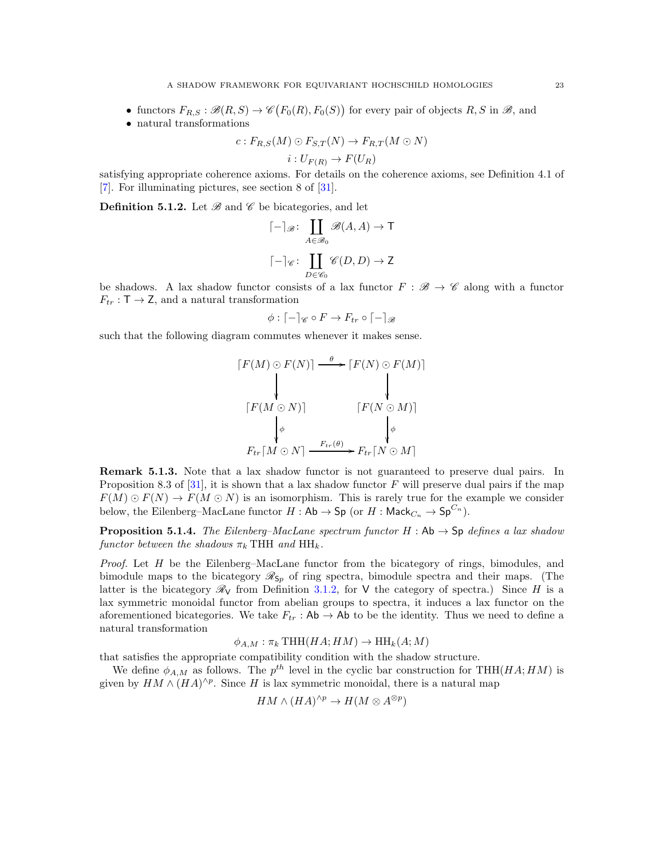- functors  $F_{R,S} : \mathcal{B}(R, S) \to \mathcal{C}(F_0(R), F_0(S))$  for every pair of objects  $R, S$  in  $\mathcal{B}$ , and
- natural transformations

$$
c: F_{R,S}(M) \odot F_{S,T}(N) \rightarrow F_{R,T}(M \odot N)
$$

$$
i:U_{F(R)}\to F(U_R)
$$

satisfying appropriate coherence axioms. For details on the coherence axioms, see Definition 4.1 of [\[7\]](#page-30-24). For illuminating pictures, see section 8 of [\[31\]](#page-30-4).

<span id="page-22-1"></span>**Definition 5.1.2.** Let  $\mathscr{B}$  and  $\mathscr{C}$  be bicategories, and let

$$
\begin{aligned} & \lceil - \rceil_{\mathscr{B}} \colon \coprod_{A \in \mathscr{B}_0} \mathscr{B}(A, A) \to \mathsf{T} \\ & \lceil - \rceil_{\mathscr{C}} \colon \coprod_{D \in \mathscr{C}_0} \mathscr{C}(D, D) \to \mathsf{Z} \end{aligned}
$$

be shadows. A lax shadow functor consists of a lax functor  $F : \mathcal{B} \to \mathcal{C}$  along with a functor  $F_{tr} : \mathsf{T} \to \mathsf{Z}$ , and a natural transformation

$$
\phi : [-]_{\mathscr{C}} \circ F \to F_{tr} \circ [-]_{\mathscr{B}}
$$

such that the following diagram commutes whenever it makes sense.

$$
[F(M) \odot F(N)] \xrightarrow{\theta} [F(N) \odot F(M)]
$$
  
\n
$$
[F(M \odot N)] \qquad [F(N \odot M)]
$$
  
\n
$$
\downarrow \qquad \qquad [F(N \odot M)]
$$
  
\n
$$
F_{tr}[M \odot N] \xrightarrow{F_{tr}(\theta)} F_{tr}[N \odot M]
$$

Remark 5.1.3. Note that a lax shadow functor is not guaranteed to preserve dual pairs. In Proposition 8.3 of [\[31\]](#page-30-4), it is shown that a lax shadow functor  $F$  will preserve dual pairs if the map  $F(M) \odot F(N) \rightarrow F(M \odot N)$  is an isomorphism. This is rarely true for the example we consider below, the Eilenberg–MacLane functor  $H : \mathsf{Ab} \to \mathsf{Sp}$  (or  $H : \mathsf{Mack}_{C_n} \to \mathsf{Sp}^{C_n}$ ).

<span id="page-22-0"></span>**Proposition 5.1.4.** The Eilenberg–MacLane spectrum functor  $H : Ab \rightarrow Sp$  defines a lax shadow functor between the shadows  $\pi_k$  THH and HH<sub>k</sub>.

*Proof.* Let  $H$  be the Eilenberg–MacLane functor from the bicategory of rings, bimodules, and bimodule maps to the bicategory  $\mathcal{R}_{Sp}$  of ring spectra, bimodule spectra and their maps. (The latter is the bicategory  $\mathcal{R}_V$  from Definition [3.1.2,](#page-6-1) for V the category of spectra.) Since H is a lax symmetric monoidal functor from abelian groups to spectra, it induces a lax functor on the aforementioned bicategories. We take  $F_{tr}$ : Ab  $\rightarrow$  Ab to be the identity. Thus we need to define a natural transformation

 $\phi_{A,M} : \pi_k \text{THH}(HA; HM) \rightarrow \text{HH}_k(A; M)$ 

that satisfies the appropriate compatibility condition with the shadow structure.

We define  $\phi_{A,M}$  as follows. The  $p^{th}$  level in the cyclic bar construction for THH( $HA;HM$ ) is given by  $HM \wedge (HA)^{\wedge p}$ . Since H is lax symmetric monoidal, there is a natural map

$$
HM \wedge (HA)^{\wedge p} \to H(M \otimes A^{\otimes p})
$$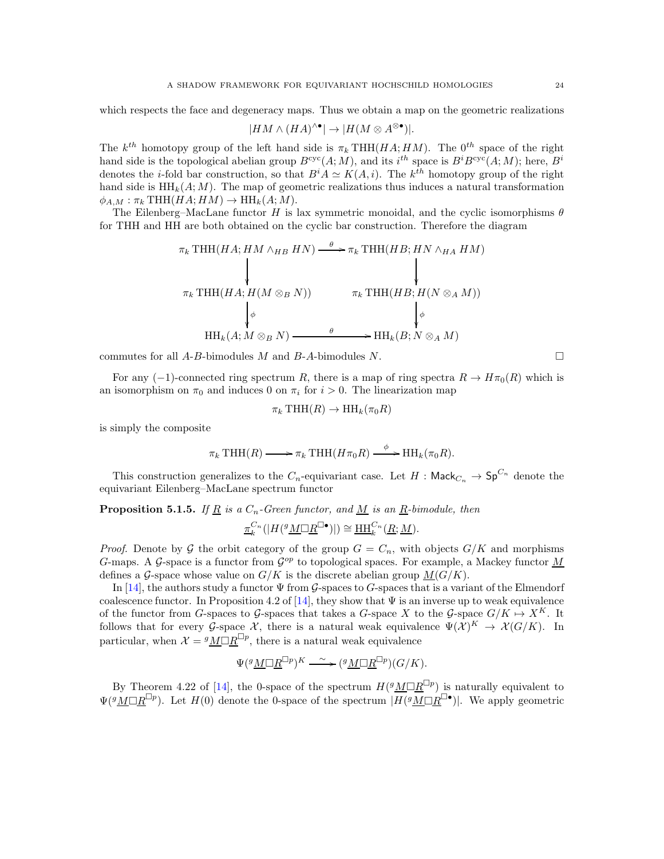which respects the face and degeneracy maps. Thus we obtain a map on the geometric realizations

$$
|HM \wedge (HA)^{\wedge \bullet}| \rightarrow |H(M \otimes A^{\otimes \bullet})|.
$$

The  $k^{th}$  homotopy group of the left hand side is  $\pi_k$  THH( $HA$ ;  $HM$ ). The  $0^{th}$  space of the right hand side is the topological abelian group  $B^{\text{cyc}}(A;M)$ , and its  $i^{th}$  space is  $B^i B^{\text{cyc}}(A;M)$ ; here,  $B^i$ denotes the *i*-fold bar construction, so that  $B^i A \simeq K(A, i)$ . The  $k^{th}$  homotopy group of the right hand side is  $HH_k(A; M)$ . The map of geometric realizations thus induces a natural transformation  $\phi_{A,M} : \pi_k \text{THH}(HA; HM) \to \text{HH}_k(A; M).$ 

The Eilenberg–MacLane functor H is lax symmetric monoidal, and the cyclic isomorphisms  $\theta$ for THH and HH are both obtained on the cyclic bar construction. Therefore the diagram

$$
\pi_k \text{THH}(HA; HM \wedge_{HB} HN) \xrightarrow{\theta} \pi_k \text{THH}(HB; HN \wedge_{HA} HM)
$$
\n
$$
\downarrow \qquad \qquad \downarrow
$$
\n
$$
\pi_k \text{THH}(HA; H(M \otimes_B N)) \qquad \qquad \pi_k \text{THH}(HB; H(N \otimes_A M))
$$
\n
$$
\downarrow \phi
$$
\n
$$
\text{HH}_k(A; M \otimes_B N) \xrightarrow{\theta} \text{HH}_k(B; N \otimes_A M)
$$

commutes for all  $A-B$ -bimodules  $M$  and  $B-A$ -bimodules  $N$ .

For any (-1)-connected ring spectrum R, there is a map of ring spectra  $R \to H\pi_0(R)$  which is an isomorphism on  $\pi_0$  and induces 0 on  $\pi_i$  for  $i > 0$ . The linearization map

$$
\pi_k \text{THH}(R) \to \text{HH}_k(\pi_0 R)
$$

is simply the composite

$$
\pi_k \text{THH}(R) \longrightarrow \pi_k \text{THH}(H\pi_0 R) \xrightarrow{\phi} \text{HH}_k(\pi_0 R).
$$

This construction generalizes to the  $C_n$ -equivariant case. Let  $H : \mathsf{Mack}_{C_n} \to \mathsf{Sp}^{C_n}$  denote the equivariant Eilenberg–MacLane spectrum functor

<span id="page-23-0"></span>**Proposition 5.1.5.** If <u>R</u> is a  $C_n$ -Green functor, and <u>M</u> is an R-bimodule, then

$$
\underline{\pi}_k^{C_n}(|H({^g}\underline{M\Box R}^{\Box\bullet})|)\cong\underline{\mathrm{HH}}_k^{C_n}(\underline{R};\underline{M}).
$$

*Proof.* Denote by G the orbit category of the group  $G = C_n$ , with objects  $G/K$  and morphisms G-maps. A G-space is a functor from  $\mathcal{G}^{op}$  to topological spaces. For example, a Mackey functor  $\underline{M}$ defines a G-space whose value on  $G/K$  is the discrete abelian group  $M(G/K)$ .

In [\[14\]](#page-30-25), the authors study a functor  $\Psi$  from G-spaces to G-spaces that is a variant of the Elmendorf coalescence functor. In Proposition 4.2 of [\[14\]](#page-30-25), they show that  $\Psi$  is an inverse up to weak equivalence of the functor from G-spaces to G-spaces that takes a G-space X to the G-space  $G/K \mapsto X^K$ . It follows that for every G-space X, there is a natural weak equivalence  $\Psi(\mathcal{X})^K \to \mathcal{X}(G/K)$ . In particular, when  $\mathcal{X} = {}^g M \Box R^{\Box p}$ , there is a natural weak equivalence

$$
\Psi({}^g \underline{M} \Box \underline{R}^{\Box p})^K \xrightarrow{\ \sim\ } ({}^g \underline{M} \Box \underline{R}^{\Box p}) (G/K).
$$

By Theorem 4.22 of [\[14\]](#page-30-25), the 0-space of the spectrum  $H({}^{g}M\Box R^{\Box p})$  is naturally equivalent to  $\Psi({}^{g}\mathcal{M}\Box R^{\Box p})$ . Let  $H(0)$  denote the 0-space of the spectrum  $|\overline{H({}^{g}\mathcal{M}\Box R^{\Box o}})$ . We apply geometric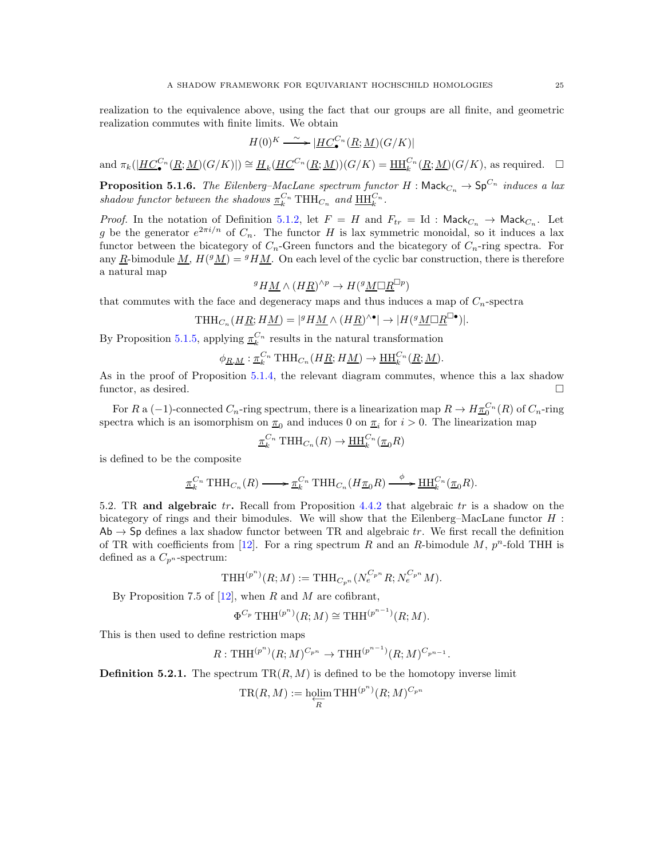realization to the equivalence above, using the fact that our groups are all finite, and geometric realization commutes with finite limits. We obtain

$$
H(0)^K \stackrel{\sim}{\longrightarrow} |\underline{HC_\bullet^{C_n}(R;M)}(G/K)|
$$

and  $\pi_k(\underline{HC}_{\bullet}^{C_n}(\underline{R};\underline{M})(G/K)) \cong \underline{H}_k(\underline{HC}^{C_n}(\underline{R};\underline{M}))(G/K) = \underline{HH}_{k}^{C_n}(\underline{R};\underline{M})(G/K)$ , as required.  $\Box$ 

<span id="page-24-0"></span>**Proposition 5.1.6.** The Eilenberg–MacLane spectrum functor H :  $\mathsf{MacC}_n \to \mathsf{Sp}^{C_n}$  induces a lax shadow functor between the shadows  $\underline{\pi}_k^{C_n}$  THH<sub>Cn</sub> and  $\underline{\text{HH}}_k^{C_n}$ .

*Proof.* In the notation of Definition [5.1.2,](#page-22-1) let  $F = H$  and  $F_{tr} = Id$  :  $\mathsf{Mack}_{C_n} \to \mathsf{Mack}_{C_n}$ . Let g be the generator  $e^{2\pi i/n}$  of  $C_n$ . The functor H is lax symmetric monoidal, so it induces a lax functor between the bicategory of  $C_n$ -Green functors and the bicategory of  $C_n$ -ring spectra. For any  $\underline{R}$ -bimodule  $\underline{M}$ ,  $H(^{g}\underline{M}) = {}^{g}H\underline{M}$ . On each level of the cyclic bar construction, there is therefore a natural map

$$
{}^g H \underline{M} \wedge (H \underline{R})^{\wedge p} \to H({}^g \underline{M} \Box \underline{R}^{\Box p})
$$

that commutes with the face and degeneracy maps and thus induces a map of  $C_n$ -spectra

$$
\mathrm{THH}_{C_n}(H\underline{R};H\underline{M})=|{}^g H \underline{M} \wedge (H \underline{R})^{\wedge \bullet}| \rightarrow |H({}^g \underline{M} \Box \underline{R}^{\Box \bullet})|.
$$

By Proposition [5.1.5,](#page-23-0) applying  $\underline{\pi}_k^{C_n}$  results in the natural transformation

$$
\phi_{\underline{R},\underline{M}} : \underline{\pi}_k^{C_n} \operatorname{THH}_{C_n}(H\underline{R};H\underline{M}) \to \underline{\operatorname{HH}}_k^{C_n}(\underline{R};\underline{M}).
$$

As in the proof of Proposition [5.1.4,](#page-22-0) the relevant diagram commutes, whence this a lax shadow functor, as desired.

For R a  $(-1)$ -connected  $C_n$ -ring spectrum, there is a linearization map  $R \to H \underline{\pi}_0^{C_n}(R)$  of  $C_n$ -ring spectra which is an isomorphism on  $\pi_0$  and induces 0 on  $\pi_i$  for  $i > 0$ . The linearization map

$$
\underline{\pi}_k^{C_n} \text{THH}_{C_n}(R) \to \underline{\text{HH}}_k^{C_n}(\underline{\pi}_0 R)
$$

is defined to be the composite

$$
\underline{\pi}_k^{C_n} \text{THH}_{C_n}(R) \longrightarrow \underline{\pi}_k^{C_n} \text{THH}_{C_n}(H\underline{\pi}_0 R) \xrightarrow{\phi} \underline{\text{HH}}_k^{C_n}(\underline{\pi}_0 R).
$$

5.2. TR and algebraic  $tr$ . Recall from Proposition [4.4.2](#page-21-1) that algebraic  $tr$  is a shadow on the bicategory of rings and their bimodules. We will show that the Eilenberg–MacLane functor H :  $Ab \rightarrow Sp$  defines a lax shadow functor between TR and algebraic tr. We first recall the definition of TR with coefficients from [\[12\]](#page-30-6). For a ring spectrum R and an R-bimodule M,  $p^{n}$ -fold THH is defined as a  $C_{p^n}$ -spectrum:

$$
\mathrm{THH}^{(p^n)}(R;M) := \mathrm{THH}_{C_{p^n}}(N_e^{C_{p^n}}R; N_e^{C_{p^n}}M).
$$

By Proposition 7.5 of  $[12]$ , when R and M are cofibrant,

$$
\Phi^{C_p} \text{THH}^{(p^n)}(R;M) \cong \text{THH}^{(p^{n-1})}(R;M).
$$

This is then used to define restriction maps

$$
R: \text{THH}^{(p^n)}(R;M)^{C_{p^n}} \to \text{THH}^{(p^{n-1})}(R;M)^{C_{p^{n-1}}}.
$$

**Definition 5.2.1.** The spectrum  $TR(R, M)$  is defined to be the homotopy inverse limit

$$
\text{\rm TR}(R,M):=\operatornamewithlimits{holim}_{R}\operatorname{THH}^{(p^n)}(R;M)^{C_{p^n}}
$$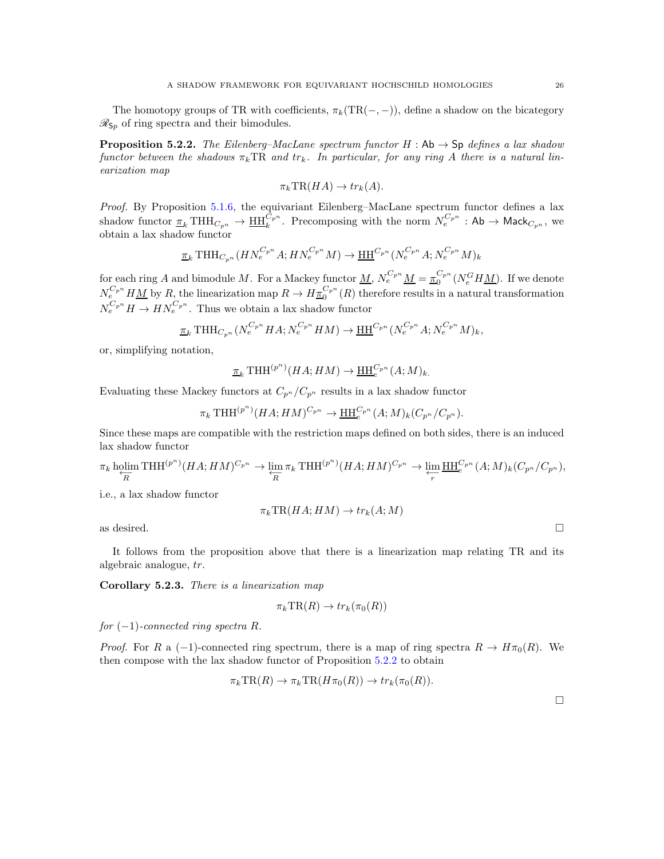The homotopy groups of TR with coefficients,  $\pi_k(TR(-, -))$ , define a shadow on the bicategory  $\mathcal{R}_{Sp}$  of ring spectra and their bimodules.

<span id="page-25-0"></span>**Proposition 5.2.2.** The Eilenberg–MacLane spectrum functor H : Ab  $\rightarrow$  Sp defines a lax shadow functor between the shadows  $\pi_k \text{TR}$  and  $tr_k$ . In particular, for any ring A there is a natural linearization map

$$
\pi_k \mathrm{TR}(HA) \to tr_k(A).
$$

Proof. By Proposition [5.1.6,](#page-24-0) the equivariant Eilenberg–MacLane spectrum functor defines a lax shadow functor  $\underline{\pi}_k \operatorname{THH}_{C_{p^n}} \to \underline{\operatorname{HH}}_k^{C_{p^n}}$ . Precomposing with the norm  $N_e^{C_{p^n}}$  : Ab  $\to$  Mack $_{C_{p^n}},$  we obtain a lax shadow functor

$$
\underline{\pi}_k \text{THH}_{C_{p^n}}(HN_e^{C_{p^n}}A; HN_e^{C_{p^n}}M) \to \underline{\text{HH}}^{C_{p^n}}(N_e^{C_{p^n}}A; N_e^{C_{p^n}}M)_k
$$

for each ring A and bimodule M. For a Mackey functor  $\underline{M}$ ,  $N_e^{C_p n} \underline{M} = \underline{\pi}_0^{C_p n} (N_e^G H \underline{M})$ . If we denote  $N_{e_{\alpha}}^{C_{p^n}} H \underline{M}$  by  $R_{\alpha}$ , the linearization map  $R \to H \underline{\pi}_0^{C_{p^n}}(R)$  therefore results in a natural transformation  $N_e^{C_p n} H \to H N_e^{C_p n}$ . Thus we obtain a lax shadow functor

$$
\underline{\pi}_k \text{THH}_{C_{p^n}}(N_e^{C_{p^n}} H A; N_e^{C_{p^n}} H M) \to \underline{\text{HH}}^{C_{p^n}}(N_e^{C_{p^n}} A; N_e^{C_{p^n}} M)_k,
$$

or, simplifying notation,

$$
\underline{\pi}_k \operatorname{THH}^{(p^n)}(HA;HM) \to \underline{\operatorname{HH}}_{e}^{C_{p^n}}(A;M)_k.
$$

Evaluating these Mackey functors at  $C_{p^n}/C_{p^n}$  results in a lax shadow functor

 $\pi_k \text{THH}^{(p^n)}(HA; HM)^{C_{p^n}} \to \underline{\text{HH}}_{e}^{C_{p^n}}(A; M)_k (C_{p^n}/C_{p^n}).$ 

Since these maps are compatible with the restriction maps defined on both sides, there is an induced lax shadow functor

$$
\pi_k \operatorname*{holim}_{\overline{R}} \operatorname{THH}^{(p^n)}(HA; HM)^{C_{p^n}} \to \varprojlim_{R} \pi_k \operatorname{THH}^{(p^n)}(HA; HM)^{C_{p^n}} \to \varprojlim_{r} \underline{\operatorname{HH}}_{e}^{C_{p^n}}(A; M)_k (C_{p^n}/C_{p^n}),
$$

i.e., a lax shadow functor

$$
\pi_k \mathrm{TR}(HA;HM) \to tr_k(A;M)
$$

as desired.  $\square$ 

It follows from the proposition above that there is a linearization map relating TR and its algebraic analogue, tr.

<span id="page-25-1"></span>Corollary 5.2.3. There is a linearization map

$$
\pi_k \mathrm{TR}(R) \to tr_k(\pi_0(R))
$$

for  $(-1)$ -connected ring spectra R.

*Proof.* For R a (-1)-connected ring spectrum, there is a map of ring spectra  $R \to H\pi_0(R)$ . We then compose with the lax shadow functor of Proposition [5.2.2](#page-25-0) to obtain

$$
\pi_k \operatorname{TR}(R) \to \pi_k \operatorname{TR}(H\pi_0(R)) \to tr_k(\pi_0(R)).
$$

 $\Box$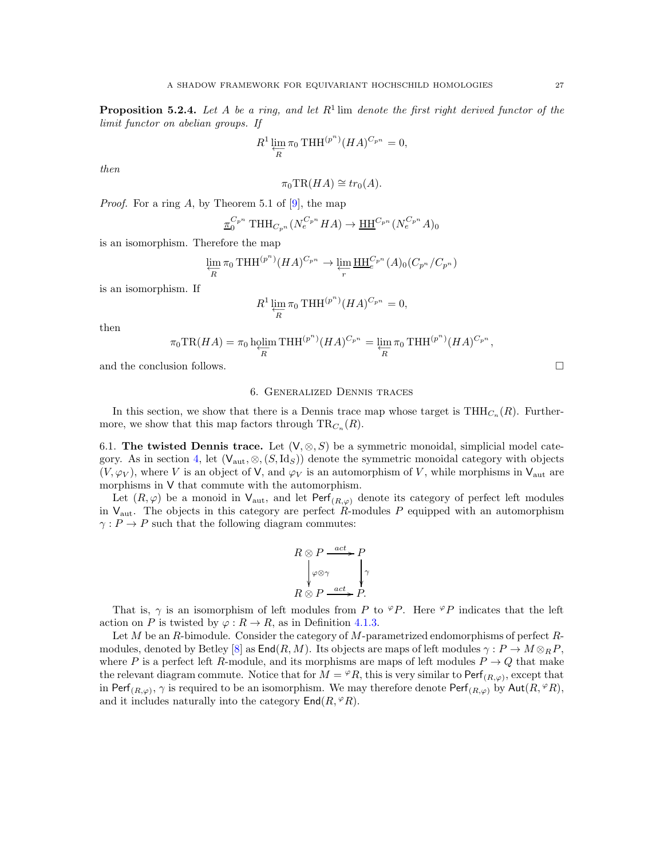**Proposition 5.2.4.** Let A be a ring, and let  $R^1$  lim denote the first right derived functor of the limit functor on abelian groups. If

$$
R^1 \varprojlim_R \pi_0 \operatorname{THH}^{(p^n)}(HA)^{C_{p^n}} = 0,
$$

then

$$
\pi_0 \mathrm{TR}(HA) \cong tr_0(A).
$$

*Proof.* For a ring A, by Theorem 5.1 of  $[9]$ , the map

$$
\underline{\pi}_0^{C_{p^n}} \text{THH}_{C_{p^n}}(N_e^{C_{p^n}} HA) \to \underline{\text{HH}}^{C_{p^n}}(N_e^{C_{p^n}} A)_0
$$

is an isomorphism. Therefore the map

$$
\varprojlim_{R} \pi_0 \operatorname{THH}^{(p^n)}(HA)^{C_{p^n}} \to \varprojlim_{r} \underline{\operatorname{HH}}_{e}^{C_{p^n}}(A)_0(C_{p^n}/C_{p^n})
$$

is an isomorphism. If

$$
R^1 \varprojlim_R \pi_0 \operatorname{THH}^{(p^n)}(HA)^{C_{p^n}} = 0,
$$

then

$$
\pi_0 \operatorname{TR}(HA) = \pi_0 \operatorname{hplim}_{\overline{R}} \operatorname{THH}^{(p^n)}(HA)^{C_{p^n}} = \varprojlim_{R} \pi_0 \operatorname{THH}^{(p^n)}(HA)^{C_{p^n}},
$$

<span id="page-26-0"></span>and the conclusion follows.

## 6. Generalized Dennis traces

In this section, we show that there is a Dennis trace map whose target is  $THH_{C_n}(R)$ . Furthermore, we show that this map factors through  $\text{TR}_{C_n}(R)$ .

6.1. The twisted Dennis trace. Let  $(V, \otimes, S)$  be a symmetric monoidal, simplicial model cate-gory. As in section [4,](#page-13-1) let  $(V_{\text{aut}}, \otimes, (S, \text{Id}_S))$  denote the symmetric monoidal category with objects  $(V, \varphi_V)$ , where V is an object of V, and  $\varphi_V$  is an automorphism of V, while morphisms in V<sub>aut</sub> are morphisms in V that commute with the automorphism.

Let  $(R, \varphi)$  be a monoid in  $V_{\text{aut}}$ , and let  $\text{Perf}_{(R,\varphi)}$  denote its category of perfect left modules in  $V_{\text{aut}}$ . The objects in this category are perfect R-modules P equipped with an automorphism  $\gamma: P \to P$  such that the following diagram commutes:

$$
R \otimes P \xrightarrow{act} P
$$
  
 
$$
\downarrow \varphi \otimes \gamma
$$
  
 
$$
R \otimes P \xrightarrow{act} P.
$$

That is,  $\gamma$  is an isomorphism of left modules from P to  $\mathcal{P}P$ . Here  $\mathcal{P}P$  indicates that the left action on P is twisted by  $\varphi : R \to R$ , as in Definition [4.1.3.](#page-15-1)

Let M be an R-bimodule. Consider the category of M-parametrized endomorphisms of perfect R-modules, denoted by Betley [\[8\]](#page-30-26) as  $\text{End}(R, M)$ . Its objects are maps of left modules  $\gamma : P \to M \otimes_R P$ , where P is a perfect left R-module, and its morphisms are maps of left modules  $P \to Q$  that make the relevant diagram commute. Notice that for  $M = \mathcal{P}R$ , this is very similar to Perf<sub> $(R,\varphi)$ </sub>, except that in Perf<sub>(R, $\varphi$ )</sub>,  $\gamma$  is required to be an isomorphism. We may therefore denote Perf<sub>(R, $\varphi$ )</sub> by Aut(R,  $\varphi$ R), and it includes naturally into the category  $\textsf{End}(R,{}^{\varphi}R)$ .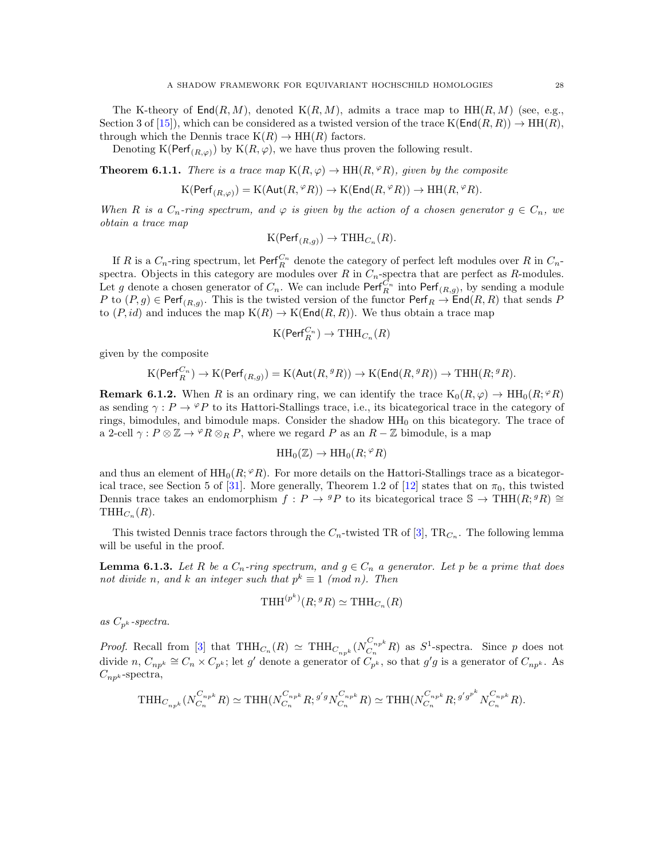The K-theory of  $\text{End}(R, M)$ , denoted  $K(R, M)$ , admits a trace map to  $HH(R, M)$  (see, e.g., Section 3 of [\[15\]](#page-30-27)), which can be considered as a twisted version of the trace  $K(End(R, R)) \to HH(R)$ , through which the Dennis trace  $K(R) \to HH(R)$  factors.

Denoting K(Perf<sub>(R, $\varphi$ )</sub>) by K(R, $\varphi$ ), we have thus proven the following result.

<span id="page-27-0"></span>**Theorem 6.1.1.** There is a trace map  $K(R,\varphi) \to HH(R,{}^{\varphi}R)$ , given by the composite

$$
K(\mathsf{Perf}_{(R,\varphi)}) = K(\mathsf{Aut}(R,{}^{\varphi}R)) \to K(\mathsf{End}(R,{}^{\varphi}R)) \to HH(R,{}^{\varphi}R).
$$

When R is a  $C_n$ -ring spectrum, and  $\varphi$  is given by the action of a chosen generator  $g \in C_n$ , we obtain a trace map

$$
K(\mathsf{Perf}_{(R,g)}) \to \mathrm{THH}_{C_n}(R).
$$

If R is a  $C_n$ -ring spectrum, let  $\text{Perf}_R^{C_n}$  denote the category of perfect left modules over R in  $C_n$ spectra. Objects in this category are modules over R in  $C_n$ -spectra that are perfect as R-modules. Let g denote a chosen generator of  $C_n$ . We can include  $\textsf{Perf}_{R}^{C_n}$  into  $\textsf{Perf}_{(R,g)}$ , by sending a module P to  $(P, g) \in \text{Perf}_{(R,g)}$ . This is the twisted version of the functor  $\text{Perf}_R \to \text{End}(R, R)$  that sends P to  $(P, id)$  and induces the map  $K(R) \to K(End(R, R))$ . We thus obtain a trace map

$$
\mathrm{K}(\mathsf{Perf}_R^{C_n}) \to \mathrm{THH}_{C_n}(R)
$$

given by the composite

$$
\mathrm{K}(\mathsf{Perf}_R^{C_n}) \to \mathrm{K}(\mathsf{Perf}_{(R,g)})=\mathrm{K}(\mathsf{Aut}(R,{}^g R)) \to \mathrm{K}(\mathsf{End}(R,{}^g R)) \to \mathrm{THH}(R;{}^g R).
$$

**Remark 6.1.2.** When R is an ordinary ring, we can identify the trace  $K_0(R,\varphi) \to HH_0(R;\varphi_R)$ as sending  $\gamma$ :  $P \to \mathscr{P}P$  to its Hattori-Stallings trace, i.e., its bicategorical trace in the category of rings, bimodules, and bimodule maps. Consider the shadow  $HH_0$  on this bicategory. The trace of a 2-cell  $\gamma$ :  $P \otimes \mathbb{Z} \to {}^{\varphi}R \otimes_R P$ , where we regard P as an  $R - \mathbb{Z}$  bimodule, is a map

$$
\mathrm{HH}_0(\mathbb{Z}) \to \mathrm{HH}_0(R; {}^{\varphi}R)
$$

and thus an element of  $HH_0(R; {}^{\varphi}R)$ . For more details on the Hattori-Stallings trace as a bicategor-ical trace, see Section 5 of [\[31\]](#page-30-4). More generally, Theorem 1.2 of [\[12\]](#page-30-6) states that on  $\pi_0$ , this twisted Dennis trace takes an endomorphism  $f: P \to {}^g P$  to its bicategorical trace  $\mathbb{S} \to \text{THH}(R; {}^g R) \cong$  $THH_{C_n}(R)$ .

This twisted Dennis trace factors through the  $C_n$ -twisted TR of [\[3\]](#page-29-0), TR<sub>C<sub>n</sub></sub>. The following lemma will be useful in the proof.

<span id="page-27-1"></span>**Lemma 6.1.3.** Let R be a  $C_n$ -ring spectrum, and  $g \in C_n$  a generator. Let p be a prime that does not divide n, and k an integer such that  $p^k \equiv 1 \pmod{n}$ . Then

$$
\operatorname{THH}^{(p^k)}(R; {}^g R) \simeq \operatorname{THH}_{C_n}(R)
$$

as  $C_{p^k}$ -spectra.

*Proof.* Recall from [\[3\]](#page-29-0) that  $THH_{C_n}(R) \simeq THH_{C_{np^k}}(N_{C_n}^{C_{np^k}})$  $C_{n}^{\nu_{npk}}R$  as  $S^1$ -spectra. Since p does not divide n,  $C_{np^k} \cong C_n \times C_{p^k}$ ; let g' denote a generator of  $C_{p^k}$ , so that g'g is a generator of  $C_{np^k}$ . As  $C_{np^k}$ -spectra,

$$
\text{THH}_{C_{np^k}}(N_{C_n}^{C_{np^k}}R) \simeq \text{THH}(N_{C_n}^{C_{np^k}}R; {}^{g'g}N_{C_n}^{C_{np^k}}R) \simeq \text{THH}(N_{C_n}^{C_{np^k}}R; {}^{g'g^{p^k}}N_{C_n}^{C_{np^k}}R).
$$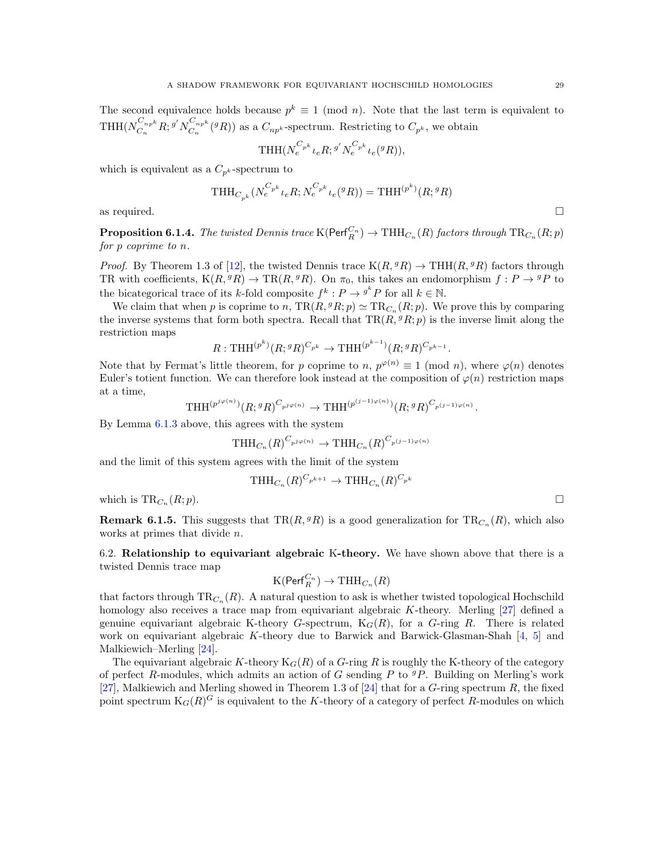The second equivalence holds because  $p^k \equiv 1 \pmod{n}$ . Note that the last term is equivalent to  $\mathrm{THH}(N_{C_n}^{C_{np}k})$  $\frac{C_{np^k}}{C_n}R;$   $g'N_{C_n}^{C_{np^k}}$  $C_{n p^{k}}^{n p^{k}}({}^{g}R)$  as a  $C_{n p^{k}}$ -spectrum. Restricting to  $C_{p^{k}}$ , we obtain

$$
\text{THH}(N_e^{C_{p^k}} \iota_e R; {}^{g'} N_e^{C_{p^k}} \iota_e({}^g R)),
$$

which is equivalent as a  $C_{p^k}$ -spectrum to

$$
\text{THH}_{C_{p^k}}(N_e^{C_{p^k}} \iota_e R; N_e^{C_{p^k}} \iota_e({}^g R)) = \text{THH}^{(p^k)}(R; {}^g R)
$$

as required.  $\Box$ 

**Proposition 6.1.4.** The twisted Dennis trace  $K(Perf_R^{C_n}) \to THH_{C_n}(R)$  factors through  $TR_{C_n}(R; p)$ for p coprime to n.

*Proof.* By Theorem 1.3 of [\[12\]](#page-30-6), the twisted Dennis trace  $K(R, {}^g R) \rightarrow THH(R, {}^g R)$  factors through TR with coefficients,  $K(R, {}^g R) \to TR(R, {}^g R)$ . On  $\pi_0$ , this takes an endomorphism  $f : P \to {}^g P$  to the bicategorical trace of its k-fold composite  $f^k: P \to g^k P$  for all  $k \in \mathbb{N}$ .

We claim that when p is coprime to n,  $\text{TR}(R,{}^g R;p) \simeq \text{TR}_{C_n}(R;p)$ . We prove this by comparing the inverse systems that form both spectra. Recall that  $TR(R, {}^g R; p)$  is the inverse limit along the restriction maps

$$
R: \text{THH}^{(p^k)}(R; {}^g R)^{C_{p^k}} \to \text{THH}^{(p^{k-1})}(R; {}^g R)^{C_{p^{k-1}}}.
$$

Note that by Fermat's little theorem, for p coprime to n,  $p^{\varphi(n)} \equiv 1 \pmod{n}$ , where  $\varphi(n)$  denotes Euler's totient function. We can therefore look instead at the composition of  $\varphi(n)$  restriction maps at a time,

$$
\text{THH}^{(p^{j\varphi(n)})}(R; {}^g R)^{C_{p^{j\varphi(n)}}} \to \text{THH}^{(p^{(j-1)\varphi(n)})}(R; {}^g R)^{C_{p^{(j-1)\varphi(n)}}}.
$$

By Lemma [6.1.3](#page-27-1) above, this agrees with the system

$$
\text{THH}_{C_n}(R)^{C_{p^j\varphi(n)}} \to \text{THH}_{C_n}(R)^{C_{p^{(j-1)\varphi(n)}}}
$$

and the limit of this system agrees with the limit of the system

$$
\text{THH}_{C_n}(R)^{C_{p^{k+1}}}\to \text{THH}_{C_n}(R)^{C_{p^k}}
$$

which is  $TR_{C_n}(R;p)$ .  $(R; p).$ 

**Remark 6.1.5.** This suggests that  $TR(R, {}^g R)$  is a good generalization for  $TR_{C_n}(R)$ , which also works at primes that divide n.

6.2. Relationship to equivariant algebraic K-theory. We have shown above that there is a twisted Dennis trace map

$$
\mathrm{K}(\mathrm{Perf}_R^{C_n}) \to \mathrm{THH}_{C_n}(R)
$$

that factors through  $\text{TR}_{C_n}(R)$ . A natural question to ask is whether twisted topological Hochschild homology also receives a trace map from equivariant algebraic K-theory. Merling [\[27\]](#page-30-28) defined a genuine equivariant algebraic K-theory G-spectrum,  $K_G(R)$ , for a G-ring R. There is related work on equivariant algebraic K-theory due to Barwick and Barwick-Glasman-Shah [\[4,](#page-29-4) [5\]](#page-29-5) and Malkiewich–Merling [\[24\]](#page-30-29).

The equivariant algebraic K-theory  $K_G(R)$  of a G-ring R is roughly the K-theory of the category of perfect R-modules, which admits an action of G sending P to  ${}^gP$ . Building on Merling's work [\[27\]](#page-30-28), Malkiewich and Merling showed in Theorem 1.3 of [\[24\]](#page-30-29) that for a  $G$ -ring spectrum  $R$ , the fixed point spectrum  $K_G(R)^G$  is equivalent to the K-theory of a category of perfect R-modules on which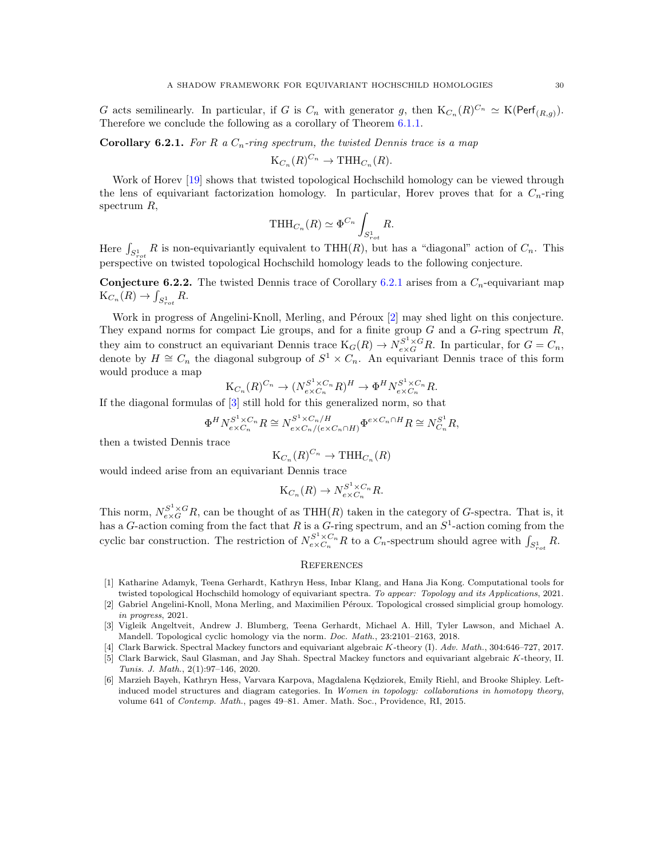G acts semilinearly. In particular, if G is  $C_n$  with generator g, then  $K_{C_n}(R)^{C_n} \simeq K(\text{Perf}_{(R,g)})$ . Therefore we conclude the following as a corollary of Theorem [6.1.1.](#page-27-0)

<span id="page-29-2"></span>**Corollary 6.2.1.** For R a  $C_n$ -ring spectrum, the twisted Dennis trace is a map

$$
K_{C_n}(R)^{C_n} \to \mathrm{THH}_{C_n}(R).
$$

Work of Horev [\[19\]](#page-30-30) shows that twisted topological Hochschild homology can be viewed through the lens of equivariant factorization homology. In particular, Horev proves that for a  $C_n$ -ring spectrum R,

$$
\text{THH}_{C_n}(R) \simeq \Phi^{C_n} \int_{S_{rot}^1} R.
$$

Here  $\int_{S_{rot}^1} R$  is non-equivariantly equivalent to THH(R), but has a "diagonal" action of  $C_n$ . This perspective on twisted topological Hochschild homology leads to the following conjecture.

**Conjecture 6.2.2.** The twisted Dennis trace of Corollary [6.2.1](#page-29-2) arises from a  $C_n$ -equivariant map  $K_{C_n}(R) \to \int_{S_{rot}^1} R.$ 

Work in progress of Angelini-Knoll, Merling, and Péroux [\[2\]](#page-29-6) may shed light on this conjecture. They expand norms for compact Lie groups, and for a finite group  $G$  and a  $G$ -ring spectrum  $R$ , they aim to construct an equivariant Dennis trace  $K_G(R) \to N_{e \times G}^{S^1 \times G} R$ . In particular, for  $G = C_n$ , denote by  $H \cong C_n$  the diagonal subgroup of  $S^1 \times C_n$ . An equivariant Dennis trace of this form would produce a map

$$
K_{C_n}(R)^{C_n} \to (N_{e \times C_n}^{S^1 \times C_n} R)^H \to \Phi^H N_{e \times C_n}^{S^1 \times C_n} R.
$$

If the diagonal formulas of [\[3\]](#page-29-0) still hold for this generalized norm, so that

$$
\Phi^H N_{e \times C_n}^{S^1 \times C_n} R \cong N_{e \times C_n/(e \times C_n \cap H)}^{S^1 \times C_n/H} \Phi^{e \times C_n \cap H} R \cong N_{C_n}^{S^1} R,
$$

then a twisted Dennis trace

$$
K_{C_n}(R)^{C_n} \to THH_{C_n}(R)
$$

would indeed arise from an equivariant Dennis trace

$$
K_{C_n}(R) \to N_{e \times C_n}^{S^1 \times C_n} R.
$$

This norm,  $N_{e\times G}^{S^1\times G}R$ , can be thought of as THH(R) taken in the category of G-spectra. That is, it has a G-action coming from the fact that R is a G-ring spectrum, and an  $S^1$ -action coming from the cyclic bar construction. The restriction of  $N_{e \times C_n}^{S^1 \times C_n} R$  to a  $C_n$ -spectrum should agree with  $\int_{S_{rot}}^1 R$ .

#### **REFERENCES**

- <span id="page-29-1"></span>[1] Katharine Adamyk, Teena Gerhardt, Kathryn Hess, Inbar Klang, and Hana Jia Kong. Computational tools for twisted topological Hochschild homology of equivariant spectra. *To appear: Topology and its Applications*, 2021.
- <span id="page-29-6"></span>[2] Gabriel Angelini-Knoll, Mona Merling, and Maximilien Péroux. Topological crossed simplicial group homology. *in progress*, 2021.
- <span id="page-29-0"></span>[3] Vigleik Angeltveit, Andrew J. Blumberg, Teena Gerhardt, Michael A. Hill, Tyler Lawson, and Michael A. Mandell. Topological cyclic homology via the norm. *Doc. Math.*, 23:2101–2163, 2018.
- <span id="page-29-5"></span><span id="page-29-4"></span>[4] Clark Barwick. Spectral Mackey functors and equivariant algebraic K-theory (I). *Adv. Math.*, 304:646–727, 2017.
- [5] Clark Barwick, Saul Glasman, and Jay Shah. Spectral Mackey functors and equivariant algebraic K-theory, II. *Tunis. J. Math.*, 2(1):97–146, 2020.
- <span id="page-29-3"></span>[6] Marzieh Bayeh, Kathryn Hess, Varvara Karpova, Magdalena Kędziorek, Emily Riehl, and Brooke Shipley. Leftinduced model structures and diagram categories. In *Women in topology: collaborations in homotopy theory*, volume 641 of *Contemp. Math.*, pages 49–81. Amer. Math. Soc., Providence, RI, 2015.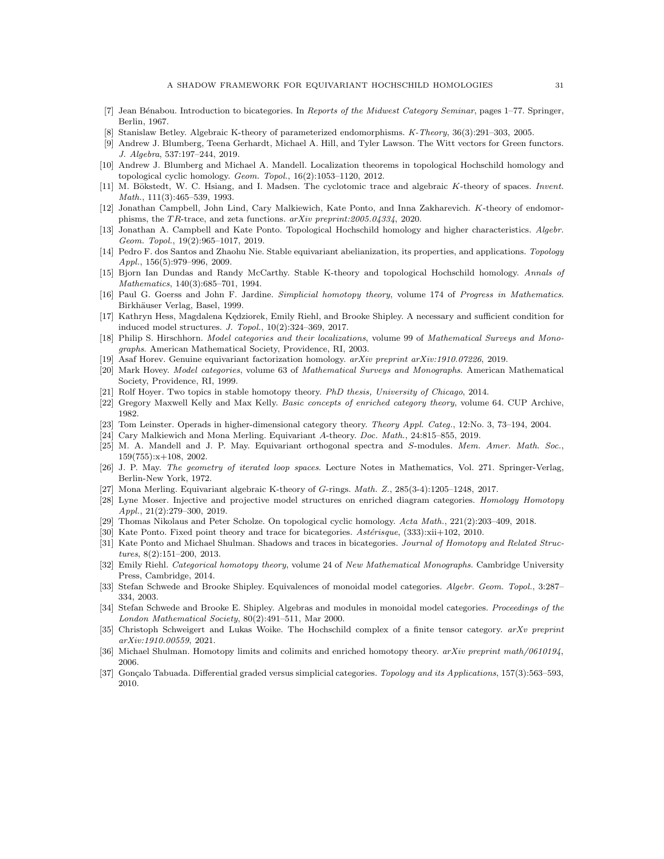- <span id="page-30-26"></span><span id="page-30-24"></span>[7] Jean B´enabou. Introduction to bicategories. In *Reports of the Midwest Category Seminar*, pages 1–77. Springer, Berlin, 1967.
- <span id="page-30-2"></span>[8] Stanislaw Betley. Algebraic K-theory of parameterized endomorphisms. *K-Theory*, 36(3):291–303, 2005.
- [9] Andrew J. Blumberg, Teena Gerhardt, Michael A. Hill, and Tyler Lawson. The Witt vectors for Green functors. *J. Algebra*, 537:197–244, 2019.
- <span id="page-30-12"></span>[10] Andrew J. Blumberg and Michael A. Mandell. Localization theorems in topological Hochschild homology and topological cyclic homology. *Geom. Topol.*, 16(2):1053–1120, 2012.
- <span id="page-30-0"></span>[11] M. Bökstedt, W. C. Hsiang, and I. Madsen. The cyclotomic trace and algebraic K-theory of spaces. *Invent. Math.*, 111(3):465–539, 1993.
- <span id="page-30-6"></span>[12] Jonathan Campbell, John Lind, Cary Malkiewich, Kate Ponto, and Inna Zakharevich. K-theory of endomorphisms, the T R-trace, and zeta functions. *arXiv preprint:2005.04334*, 2020.
- <span id="page-30-5"></span>[13] Jonathan A. Campbell and Kate Ponto. Topological Hochschild homology and higher characteristics. *Algebr. Geom. Topol.*, 19(2):965–1017, 2019.
- <span id="page-30-25"></span>[14] Pedro F. dos Santos and Zhaohu Nie. Stable equivariant abelianization, its properties, and applications. *Topology Appl.*, 156(5):979–996, 2009.
- <span id="page-30-27"></span>[15] Bjorn Ian Dundas and Randy McCarthy. Stable K-theory and topological Hochschild homology. *Annals of Mathematics*, 140(3):685–701, 1994.
- <span id="page-30-23"></span>[16] Paul G. Goerss and John F. Jardine. *Simplicial homotopy theory*, volume 174 of *Progress in Mathematics*. Birkhäuser Verlag, Basel, 1999.
- <span id="page-30-19"></span>[17] Kathryn Hess, Magdalena Kędziorek, Emily Riehl, and Brooke Shipley. A necessary and sufficient condition for induced model structures. *J. Topol.*, 10(2):324–369, 2017.
- <span id="page-30-9"></span>[18] Philip S. Hirschhorn. *Model categories and their localizations*, volume 99 of *Mathematical Surveys and Monographs*. American Mathematical Society, Providence, RI, 2003.
- <span id="page-30-30"></span><span id="page-30-20"></span>[19] Asaf Horev. Genuine equivariant factorization homology. *arXiv preprint arXiv:1910.07226*, 2019.
- [20] Mark Hovey. *Model categories*, volume 63 of *Mathematical Surveys and Monographs*. American Mathematical Society, Providence, RI, 1999.
- <span id="page-30-22"></span><span id="page-30-13"></span>[21] Rolf Hoyer. Two topics in stable homotopy theory. *PhD thesis, University of Chicago*, 2014.
- <span id="page-30-7"></span>[22] Gregory Maxwell Kelly and Max Kelly. *Basic concepts of enriched category theory*, volume 64. CUP Archive, 1982.
- <span id="page-30-29"></span>[23] Tom Leinster. Operads in higher-dimensional category theory. *Theory Appl. Categ.*, 12:No. 3, 73–194, 2004.
- <span id="page-30-21"></span>[24] Cary Malkiewich and Mona Merling. Equivariant A-theory. *Doc. Math.*, 24:815–855, 2019.
- [25] M. A. Mandell and J. P. May. Equivariant orthogonal spectra and S-modules. *Mem. Amer. Math. Soc.*, 159(755):x+108, 2002.
- <span id="page-30-11"></span>[26] J. P. May. *The geometry of iterated loop spaces*. Lecture Notes in Mathematics, Vol. 271. Springer-Verlag, Berlin-New York, 1972.
- <span id="page-30-28"></span><span id="page-30-15"></span>[27] Mona Merling. Equivariant algebraic K-theory of G-rings. *Math. Z.*, 285(3-4):1205–1248, 2017.
- [28] Lyne Moser. Injective and projective model structures on enriched diagram categories. *Homology Homotopy Appl.*, 21(2):279–300, 2019.
- <span id="page-30-3"></span><span id="page-30-1"></span>[29] Thomas Nikolaus and Peter Scholze. On topological cyclic homology. *Acta Math.*, 221(2):203–409, 2018.
- <span id="page-30-4"></span>[30] Kate Ponto. Fixed point theory and trace for bicategories. Astérisque, (333):xii+102, 2010.
- [31] Kate Ponto and Michael Shulman. Shadows and traces in bicategories. *Journal of Homotopy and Related Structures*, 8(2):151–200, 2013.
- <span id="page-30-14"></span>[32] Emily Riehl. *Categorical homotopy theory*, volume 24 of *New Mathematical Monographs*. Cambridge University Press, Cambridge, 2014.
- <span id="page-30-16"></span>[33] Stefan Schwede and Brooke Shipley. Equivalences of monoidal model categories. *Algebr. Geom. Topol.*, 3:287– 334, 2003.
- <span id="page-30-8"></span>[34] Stefan Schwede and Brooke E. Shipley. Algebras and modules in monoidal model categories. *Proceedings of the London Mathematical Society*, 80(2):491–511, Mar 2000.
- <span id="page-30-17"></span>[35] Christoph Schweigert and Lukas Woike. The Hochschild complex of a finite tensor category. *arXv preprint arXiv:1910.00559*, 2021.
- <span id="page-30-18"></span><span id="page-30-10"></span>[36] Michael Shulman. Homotopy limits and colimits and enriched homotopy theory. *arXiv preprint math/0610194*, 2006.
- [37] Gon¸calo Tabuada. Differential graded versus simplicial categories. *Topology and its Applications*, 157(3):563–593, 2010.